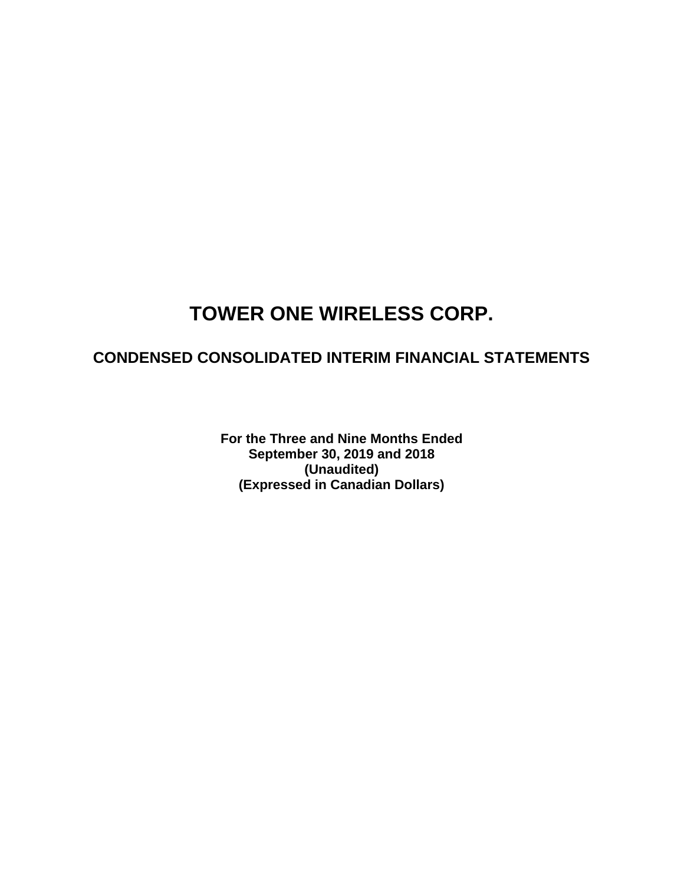## **CONDENSED CONSOLIDATED INTERIM FINANCIAL STATEMENTS**

**For the Three and Nine Months Ended September 30, 2019 and 2018 (Unaudited) (Expressed in Canadian Dollars)**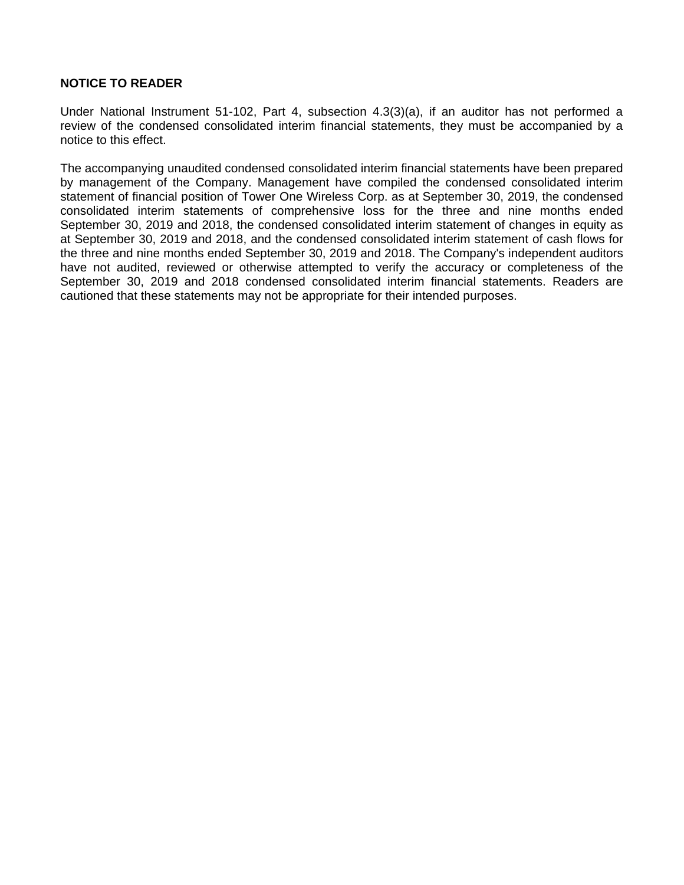### **NOTICE TO READER**

Under National Instrument 51-102, Part 4, subsection 4.3(3)(a), if an auditor has not performed a review of the condensed consolidated interim financial statements, they must be accompanied by a notice to this effect.

The accompanying unaudited condensed consolidated interim financial statements have been prepared by management of the Company. Management have compiled the condensed consolidated interim statement of financial position of Tower One Wireless Corp. as at September 30, 2019, the condensed consolidated interim statements of comprehensive loss for the three and nine months ended September 30, 2019 and 2018, the condensed consolidated interim statement of changes in equity as at September 30, 2019 and 2018, and the condensed consolidated interim statement of cash flows for the three and nine months ended September 30, 2019 and 2018. The Company's independent auditors have not audited, reviewed or otherwise attempted to verify the accuracy or completeness of the September 30, 2019 and 2018 condensed consolidated interim financial statements. Readers are cautioned that these statements may not be appropriate for their intended purposes.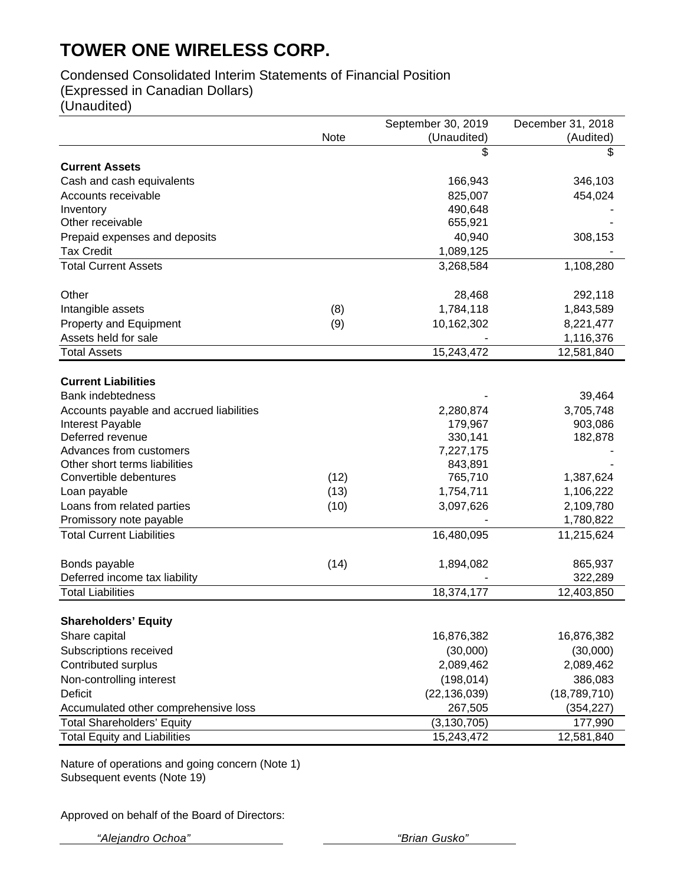## Condensed Consolidated Interim Statements of Financial Position

(Expressed in Canadian Dollars)

(Unaudited)

|                                          |      | September 30, 2019 | December 31, 2018 |
|------------------------------------------|------|--------------------|-------------------|
|                                          | Note | (Unaudited)        | (Audited)         |
|                                          |      | \$                 | \$                |
| <b>Current Assets</b>                    |      |                    |                   |
| Cash and cash equivalents                |      | 166,943            | 346,103           |
| Accounts receivable                      |      | 825,007            | 454,024           |
| Inventory                                |      | 490,648            |                   |
| Other receivable                         |      | 655,921            |                   |
| Prepaid expenses and deposits            |      | 40,940             | 308,153           |
| <b>Tax Credit</b>                        |      | 1,089,125          |                   |
| <b>Total Current Assets</b>              |      | 3,268,584          | 1,108,280         |
|                                          |      |                    |                   |
| Other                                    |      | 28,468             | 292,118           |
| Intangible assets                        | (8)  | 1,784,118          | 1,843,589         |
| Property and Equipment                   | (9)  | 10,162,302         | 8,221,477         |
| Assets held for sale                     |      |                    | 1,116,376         |
| <b>Total Assets</b>                      |      | 15,243,472         | 12,581,840        |
|                                          |      |                    |                   |
| <b>Current Liabilities</b>               |      |                    |                   |
| <b>Bank indebtedness</b>                 |      |                    | 39,464            |
| Accounts payable and accrued liabilities |      | 2,280,874          | 3,705,748         |
| Interest Payable                         |      | 179,967            | 903,086           |
| Deferred revenue                         |      | 330,141            | 182,878           |
| Advances from customers                  |      | 7,227,175          |                   |
| Other short terms liabilities            |      | 843,891            |                   |
| Convertible debentures                   | (12) | 765,710            | 1,387,624         |
| Loan payable                             | (13) | 1,754,711          | 1,106,222         |
| Loans from related parties               | (10) | 3,097,626          | 2,109,780         |
| Promissory note payable                  |      |                    | 1,780,822         |
| <b>Total Current Liabilities</b>         |      | 16,480,095         | 11,215,624        |
|                                          |      |                    |                   |
| Bonds payable                            | (14) | 1,894,082          | 865,937           |
| Deferred income tax liability            |      |                    | 322,289           |
| <b>Total Liabilities</b>                 |      | 18,374,177         | 12,403,850        |
|                                          |      |                    |                   |
| <b>Shareholders' Equity</b>              |      |                    |                   |
| Share capital                            |      | 16,876,382         | 16,876,382        |
| Subscriptions received                   |      | (30,000)           | (30,000)          |
| Contributed surplus                      |      | 2,089,462          | 2,089,462         |
| Non-controlling interest                 |      | (198, 014)         | 386,083           |
| <b>Deficit</b>                           |      | (22, 136, 039)     | (18, 789, 710)    |
| Accumulated other comprehensive loss     |      | 267,505            | (354, 227)        |
| <b>Total Shareholders' Equity</b>        |      | (3, 130, 705)      | 177,990           |
| <b>Total Equity and Liabilities</b>      |      | 15,243,472         | 12,581,840        |
|                                          |      |                    |                   |

Nature of operations and going concern (Note 1) Subsequent events (Note 19)

Approved on behalf of the Board of Directors:

 *"Alejandro Ochoa" "Brian Gusko"*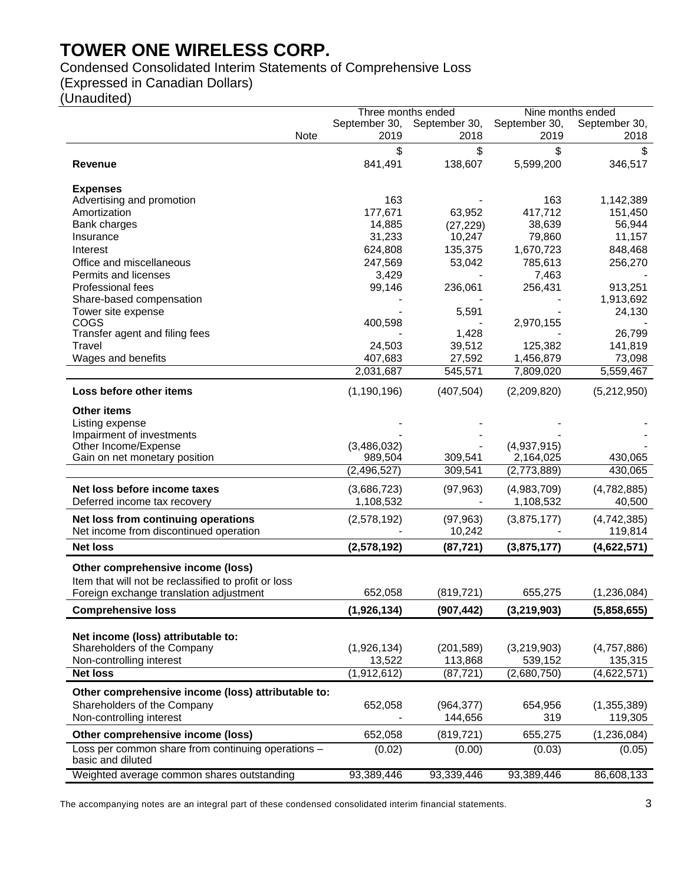Condensed Consolidated Interim Statements of Comprehensive Loss

(Expressed in Canadian Dollars)

(Unaudited)

|                                                                         | Three months ended |               | Nine months ended |               |
|-------------------------------------------------------------------------|--------------------|---------------|-------------------|---------------|
|                                                                         | September 30,      | September 30, | September 30,     | September 30, |
| Note                                                                    | 2019               | 2018          | 2019              | 2018          |
|                                                                         | \$                 | \$            | \$                | S             |
| <b>Revenue</b>                                                          | 841,491            | 138,607       | 5,599,200         | 346,517       |
|                                                                         |                    |               |                   |               |
| <b>Expenses</b>                                                         |                    |               |                   |               |
| Advertising and promotion                                               | 163                |               | 163               | 1,142,389     |
| Amortization                                                            | 177,671            | 63,952        | 417,712           | 151,450       |
| Bank charges                                                            | 14,885             | (27, 229)     | 38,639            | 56,944        |
| Insurance                                                               | 31,233             | 10,247        | 79,860            | 11,157        |
| Interest                                                                | 624,808            | 135,375       | 1,670,723         | 848,468       |
| Office and miscellaneous                                                | 247,569            | 53,042        | 785,613           | 256,270       |
| Permits and licenses                                                    | 3,429              |               | 7,463             |               |
| Professional fees                                                       | 99,146             | 236,061       | 256,431           | 913,251       |
| Share-based compensation                                                |                    |               |                   | 1,913,692     |
| Tower site expense                                                      |                    | 5,591         |                   | 24,130        |
| COGS                                                                    | 400,598            |               | 2,970,155         |               |
| Transfer agent and filing fees                                          |                    | 1,428         |                   | 26,799        |
| Travel                                                                  | 24,503             | 39,512        | 125,382           | 141,819       |
| Wages and benefits                                                      | 407,683            | 27,592        | 1,456,879         | 73,098        |
|                                                                         | 2,031,687          | 545,571       | 7,809,020         | 5,559,467     |
| Loss before other items                                                 | (1, 190, 196)      | (407, 504)    | (2,209,820)       | (5,212,950)   |
| <b>Other items</b>                                                      |                    |               |                   |               |
| Listing expense                                                         |                    |               |                   |               |
| Impairment of investments                                               |                    |               |                   |               |
| Other Income/Expense                                                    | (3,486,032)        |               | (4,937,915)       |               |
| Gain on net monetary position                                           | 989,504            | 309,541       | 2,164,025         | 430,065       |
|                                                                         | (2, 496, 527)      | 309,541       | (2,773,889)       | 430,065       |
| Net loss before income taxes                                            | (3,686,723)        | (97, 963)     | (4,983,709)       | (4,782,885)   |
| Deferred income tax recovery                                            | 1,108,532          |               | 1,108,532         | 40,500        |
| Net loss from continuing operations                                     | (2,578,192)        | (97, 963)     | (3,875,177)       | (4,742,385)   |
| Net income from discontinued operation                                  |                    | 10,242        |                   | 119,814       |
| <b>Net loss</b>                                                         | (2,578,192)        | (87, 721)     | (3,875,177)       | (4,622,571)   |
|                                                                         |                    |               |                   |               |
| Other comprehensive income (loss)                                       |                    |               |                   |               |
| Item that will not be reclassified to profit or loss                    |                    |               |                   |               |
| Foreign exchange translation adjustment                                 | 652,058            | (819, 721)    | 655,275           | (1,236,084)   |
| <b>Comprehensive loss</b>                                               | (1,926,134)        | (907, 442)    | (3, 219, 903)     | (5,858,655)   |
|                                                                         |                    |               |                   |               |
| Net income (loss) attributable to:                                      |                    |               |                   |               |
| Shareholders of the Company                                             | (1,926,134)        | (201, 589)    | (3,219,903)       | (4,757,886)   |
| Non-controlling interest                                                | 13,522             | 113,868       | 539,152           | 135,315       |
| <b>Net loss</b>                                                         | (1,912,612)        | (87, 721)     | (2,680,750)       | (4,622,571)   |
| Other comprehensive income (loss) attributable to:                      |                    |               |                   |               |
| Shareholders of the Company                                             | 652,058            | (964, 377)    | 654,956           | (1,355,389)   |
| Non-controlling interest                                                |                    | 144,656       | 319               | 119,305       |
| Other comprehensive income (loss)                                       | 652,058            | (819, 721)    | 655,275           | (1, 236, 084) |
| Loss per common share from continuing operations -<br>basic and diluted | (0.02)             | (0.00)        | (0.03)            | (0.05)        |
| Weighted average common shares outstanding                              | 93,389,446         | 93,339,446    | 93,389,446        | 86,608,133    |

The accompanying notes are an integral part of these condensed consolidated interim financial statements. 3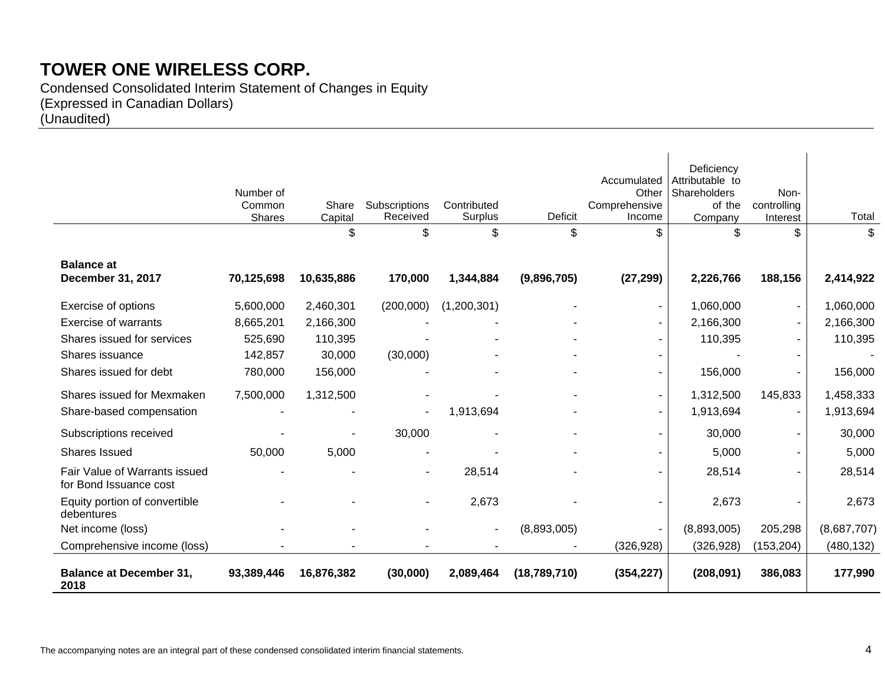Condensed Consolidated Interim Statement of Changes in Equity (Expressed in Canadian Dollars) (Unaudited)

|                                                                | Number of<br>Common<br>Shares | Share<br>Capital | Subscriptions<br>Received | Contributed<br>Surplus | Deficit        | Accumulated<br>Other<br>Comprehensive<br>Income | Deficiency<br>Attributable to<br>Shareholders<br>of the<br>Company | Non-<br>controlling<br>Interest | Total       |
|----------------------------------------------------------------|-------------------------------|------------------|---------------------------|------------------------|----------------|-------------------------------------------------|--------------------------------------------------------------------|---------------------------------|-------------|
|                                                                |                               | \$               | \$                        | \$                     | \$             | \$                                              |                                                                    | \$                              | \$          |
| <b>Balance at</b><br><b>December 31, 2017</b>                  | 70,125,698                    | 10,635,886       | 170,000                   | 1,344,884              | (9,896,705)    | (27, 299)                                       | 2,226,766                                                          | 188,156                         | 2,414,922   |
| Exercise of options                                            | 5,600,000                     | 2,460,301        | (200,000)                 | (1,200,301)            |                |                                                 | 1,060,000                                                          | $\blacksquare$                  | 1,060,000   |
| Exercise of warrants                                           | 8,665,201                     | 2,166,300        |                           |                        |                |                                                 | 2,166,300                                                          | $\sim$                          | 2,166,300   |
| Shares issued for services                                     | 525,690                       | 110,395          |                           |                        |                |                                                 | 110,395                                                            | $\sim$                          | 110,395     |
| Shares issuance                                                | 142,857                       | 30,000           | (30,000)                  |                        |                |                                                 |                                                                    |                                 |             |
| Shares issued for debt                                         | 780,000                       | 156,000          |                           |                        |                |                                                 | 156,000                                                            |                                 | 156,000     |
| Shares issued for Mexmaken                                     | 7,500,000                     | 1,312,500        |                           |                        |                |                                                 | 1,312,500                                                          | 145,833                         | 1,458,333   |
| Share-based compensation                                       |                               |                  |                           | 1,913,694              |                |                                                 | 1,913,694                                                          |                                 | 1,913,694   |
| Subscriptions received                                         |                               |                  | 30,000                    |                        |                |                                                 | 30,000                                                             | $\sim$                          | 30,000      |
| <b>Shares Issued</b>                                           | 50,000                        | 5,000            |                           |                        |                |                                                 | 5,000                                                              |                                 | 5,000       |
| <b>Fair Value of Warrants issued</b><br>for Bond Issuance cost |                               |                  |                           | 28,514                 |                |                                                 | 28,514                                                             |                                 | 28,514      |
| Equity portion of convertible<br>debentures                    |                               |                  |                           | 2,673                  |                |                                                 | 2,673                                                              |                                 | 2,673       |
| Net income (loss)                                              |                               |                  |                           | $\blacksquare$         | (8,893,005)    |                                                 | (8,893,005)                                                        | 205,298                         | (8,687,707) |
| Comprehensive income (loss)                                    |                               |                  |                           |                        |                | (326, 928)                                      | (326, 928)                                                         | (153, 204)                      | (480, 132)  |
| <b>Balance at December 31,</b><br>2018                         | 93,389,446                    | 16,876,382       | (30,000)                  | 2,089,464              | (18, 789, 710) | (354, 227)                                      | (208, 091)                                                         | 386,083                         | 177,990     |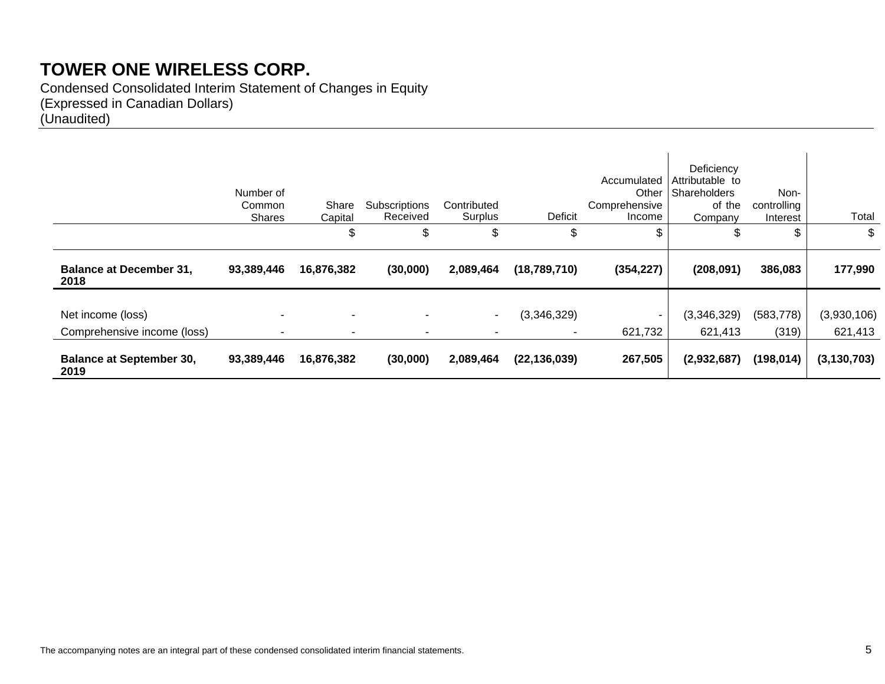Condensed Consolidated Interim Statement of Changes in Equity (Expressed in Canadian Dollars) (Unaudited)

|                                         | Number of<br>Common<br><b>Shares</b> | Share<br>Capital         | Subscriptions<br>Received | Contributed<br>Surplus   | Deficit        | Accumulated<br>Other<br>Comprehensive<br>Income | Deficiency<br>Attributable to<br>Shareholders<br>of the<br>Company | Non-<br>controlling<br>Interest | Total         |
|-----------------------------------------|--------------------------------------|--------------------------|---------------------------|--------------------------|----------------|-------------------------------------------------|--------------------------------------------------------------------|---------------------------------|---------------|
|                                         |                                      | \$                       | \$                        | \$                       | \$             | \$                                              | \$                                                                 | \$                              | \$            |
| <b>Balance at December 31,</b><br>2018  | 93,389,446                           | 16,876,382               | (30,000)                  | 2,089,464                | (18,789,710)   | (354, 227)                                      | (208, 091)                                                         | 386,083                         | 177,990       |
| Net income (loss)                       |                                      | $\overline{\phantom{a}}$ |                           | $\overline{\phantom{a}}$ | (3,346,329)    | $\sim$                                          | (3,346,329)                                                        | (583, 778)                      | (3,930,106)   |
| Comprehensive income (loss)             | ۰.                                   | н.                       | ۰.                        | $\blacksquare$           | ٠              | 621,732                                         | 621,413                                                            | (319)                           | 621,413       |
| <b>Balance at September 30,</b><br>2019 | 93,389,446                           | 16,876,382               | (30,000)                  | 2,089,464                | (22, 136, 039) | 267,505                                         | (2,932,687)                                                        | (198, 014)                      | (3, 130, 703) |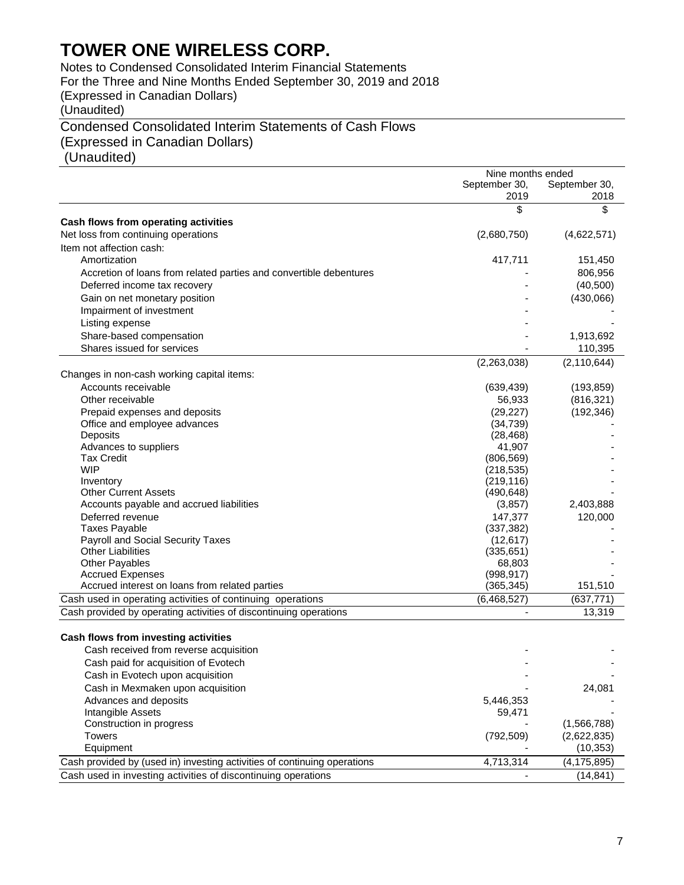Notes to Condensed Consolidated Interim Financial Statements For the Three and Nine Months Ended September 30, 2019 and 2018 (Expressed in Canadian Dollars) (Unaudited)

## Condensed Consolidated Interim Statements of Cash Flows (Expressed in Canadian Dollars)

(Unaudited)

|                                                                          | Nine months ended |               |
|--------------------------------------------------------------------------|-------------------|---------------|
|                                                                          | September 30,     | September 30, |
|                                                                          | 2019              | 2018          |
| Cash flows from operating activities                                     | \$                | \$            |
| Net loss from continuing operations                                      | (2,680,750)       | (4,622,571)   |
| Item not affection cash:                                                 |                   |               |
|                                                                          |                   |               |
| Amortization                                                             | 417,711           | 151,450       |
| Accretion of loans from related parties and convertible debentures       |                   | 806,956       |
| Deferred income tax recovery                                             |                   | (40, 500)     |
| Gain on net monetary position                                            |                   | (430,066)     |
| Impairment of investment                                                 |                   |               |
| Listing expense                                                          |                   |               |
| Share-based compensation                                                 |                   | 1,913,692     |
| Shares issued for services                                               |                   | 110,395       |
|                                                                          | (2,263,038)       | (2, 110, 644) |
| Changes in non-cash working capital items:                               |                   |               |
| Accounts receivable                                                      | (639, 439)        | (193, 859)    |
| Other receivable                                                         | 56,933            | (816, 321)    |
| Prepaid expenses and deposits                                            | (29, 227)         | (192, 346)    |
| Office and employee advances                                             | (34, 739)         |               |
| Deposits                                                                 | (28, 468)         |               |
| Advances to suppliers                                                    | 41,907            |               |
| <b>Tax Credit</b>                                                        | (806, 569)        |               |
| <b>WIP</b>                                                               | (218, 535)        |               |
| Inventory                                                                | (219, 116)        |               |
| <b>Other Current Assets</b>                                              | (490, 648)        |               |
| Accounts payable and accrued liabilities                                 | (3, 857)          | 2,403,888     |
| Deferred revenue                                                         | 147,377           | 120,000       |
| <b>Taxes Payable</b>                                                     | (337, 382)        |               |
| Payroll and Social Security Taxes                                        | (12, 617)         |               |
| <b>Other Liabilities</b>                                                 | (335, 651)        |               |
| Other Payables                                                           | 68,803            |               |
| <b>Accrued Expenses</b>                                                  | (998, 917)        |               |
| Accrued interest on loans from related parties                           | (365, 345)        | 151,510       |
| Cash used in operating activities of continuing operations               | (6,468,527)       | (637, 771)    |
| Cash provided by operating activities of discontinuing operations        |                   | 13,319        |
|                                                                          |                   |               |
| Cash flows from investing activities                                     |                   |               |
| Cash received from reverse acquisition                                   |                   |               |
| Cash paid for acquisition of Evotech                                     |                   |               |
| Cash in Evotech upon acquisition                                         |                   |               |
| Cash in Mexmaken upon acquisition                                        |                   | 24,081        |
| Advances and deposits                                                    | 5,446,353         |               |
| Intangible Assets                                                        | 59,471            |               |
| Construction in progress                                                 |                   | (1,566,788)   |
| <b>Towers</b>                                                            |                   |               |
| Equipment                                                                | (792, 509)        | (2,622,835)   |
|                                                                          |                   | (10, 353)     |
| Cash provided by (used in) investing activities of continuing operations | 4,713,314         | (4, 175, 895) |
| Cash used in investing activities of discontinuing operations            |                   | (14, 841)     |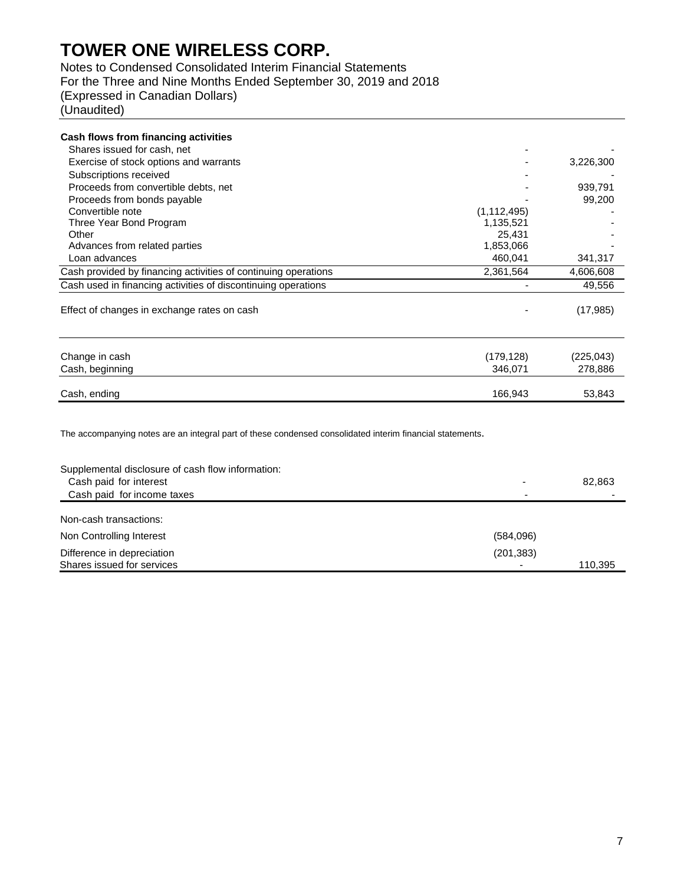Notes to Condensed Consolidated Interim Financial Statements

For the Three and Nine Months Ended September 30, 2019 and 2018

(Expressed in Canadian Dollars)

(Unaudited)

| Cash flows from financing activities                           |               |           |
|----------------------------------------------------------------|---------------|-----------|
| Shares issued for cash, net                                    |               |           |
| Exercise of stock options and warrants                         |               | 3,226,300 |
| Subscriptions received                                         |               |           |
| Proceeds from convertible debts, net                           |               | 939,791   |
| Proceeds from bonds payable                                    |               | 99,200    |
| Convertible note                                               | (1, 112, 495) |           |
| Three Year Bond Program                                        | 1,135,521     |           |
| Other                                                          | 25,431        |           |
| Advances from related parties                                  | 1,853,066     |           |
| Loan advances                                                  | 460,041       | 341,317   |
| Cash provided by financing activities of continuing operations | 2,361,564     | 4,606,608 |
| Cash used in financing activities of discontinuing operations  |               | 49,556    |
| Effect of changes in exchange rates on cash                    |               | (17, 985) |
| Change in cash                                                 | (179, 128)    | (225,043) |

| __<br>Cash,<br>beginning | 346.071 | 278.886 |
|--------------------------|---------|---------|
| Cash,<br>, endina        | 166,943 | 53,843  |

The accompanying notes are an integral part of these condensed consolidated interim financial statements.

| Supplemental disclosure of cash flow information:<br>Cash paid for interest<br>Cash paid for income taxes |            | 82,863  |
|-----------------------------------------------------------------------------------------------------------|------------|---------|
| Non-cash transactions:                                                                                    |            |         |
| Non Controlling Interest                                                                                  | (584,096)  |         |
| Difference in depreciation<br>Shares issued for services                                                  | (201, 383) | 110,395 |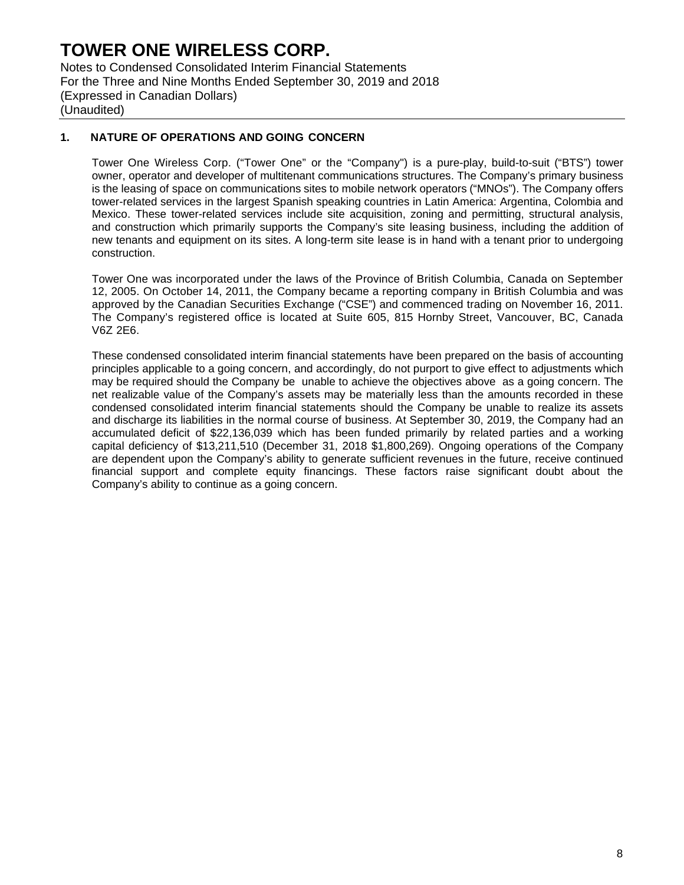Notes to Condensed Consolidated Interim Financial Statements For the Three and Nine Months Ended September 30, 2019 and 2018 (Expressed in Canadian Dollars) (Unaudited)

### **1. NATURE OF OPERATIONS AND GOING CONCERN**

Tower One Wireless Corp. ("Tower One" or the "Company") is a pure-play, build-to-suit ("BTS") tower owner, operator and developer of multitenant communications structures. The Company's primary business is the leasing of space on communications sites to mobile network operators ("MNOs"). The Company offers tower-related services in the largest Spanish speaking countries in Latin America: Argentina, Colombia and Mexico. These tower-related services include site acquisition, zoning and permitting, structural analysis, and construction which primarily supports the Company's site leasing business, including the addition of new tenants and equipment on its sites. A long-term site lease is in hand with a tenant prior to undergoing construction.

Tower One was incorporated under the laws of the Province of British Columbia, Canada on September 12, 2005. On October 14, 2011, the Company became a reporting company in British Columbia and was approved by the Canadian Securities Exchange ("CSE") and commenced trading on November 16, 2011. The Company's registered office is located at Suite 605, 815 Hornby Street, Vancouver, BC, Canada V6Z 2E6.

These condensed consolidated interim financial statements have been prepared on the basis of accounting principles applicable to a going concern, and accordingly, do not purport to give effect to adjustments which may be required should the Company be unable to achieve the objectives above as a going concern. The net realizable value of the Company's assets may be materially less than the amounts recorded in these condensed consolidated interim financial statements should the Company be unable to realize its assets and discharge its liabilities in the normal course of business. At September 30, 2019, the Company had an accumulated deficit of \$22,136,039 which has been funded primarily by related parties and a working capital deficiency of \$13,211,510 (December 31, 2018 \$1,800,269). Ongoing operations of the Company are dependent upon the Company's ability to generate sufficient revenues in the future, receive continued financial support and complete equity financings. These factors raise significant doubt about the Company's ability to continue as a going concern.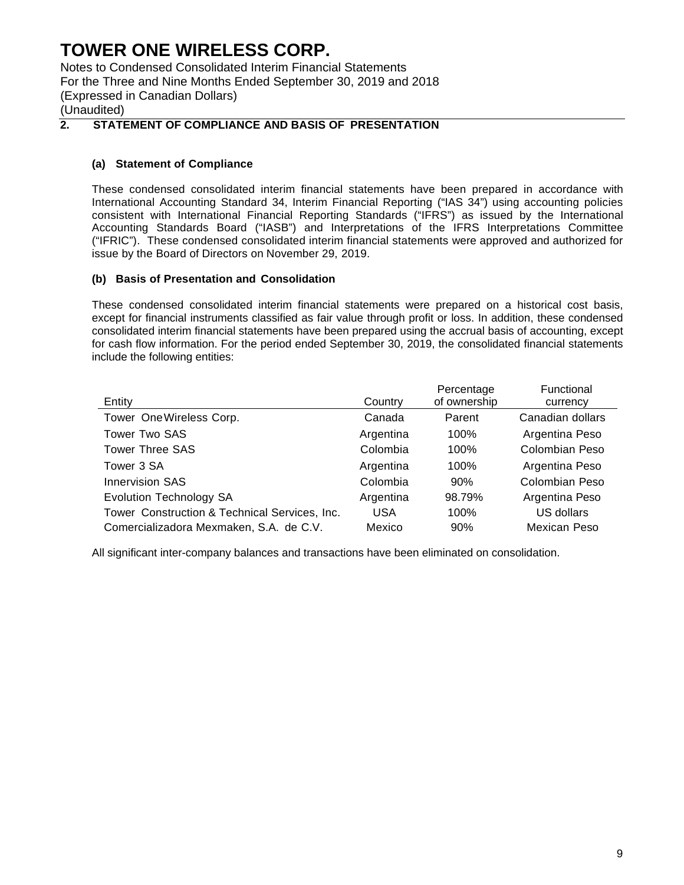Notes to Condensed Consolidated Interim Financial Statements For the Three and Nine Months Ended September 30, 2019 and 2018 (Expressed in Canadian Dollars) (Unaudited)

### **2. STATEMENT OF COMPLIANCE AND BASIS OF PRESENTATION**

### **(a) Statement of Compliance**

These condensed consolidated interim financial statements have been prepared in accordance with International Accounting Standard 34, Interim Financial Reporting ("IAS 34") using accounting policies consistent with International Financial Reporting Standards ("IFRS") as issued by the International Accounting Standards Board ("IASB") and Interpretations of the IFRS Interpretations Committee ("IFRIC"). These condensed consolidated interim financial statements were approved and authorized for issue by the Board of Directors on November 29, 2019.

### **(b) Basis of Presentation and Consolidation**

These condensed consolidated interim financial statements were prepared on a historical cost basis, except for financial instruments classified as fair value through profit or loss. In addition, these condensed consolidated interim financial statements have been prepared using the accrual basis of accounting, except for cash flow information. For the period ended September 30, 2019, the consolidated financial statements include the following entities:

| Entity                                        | Country    | Percentage<br>of ownership | Functional<br>currency |
|-----------------------------------------------|------------|----------------------------|------------------------|
| Tower One Wireless Corp.                      | Canada     | Parent                     | Canadian dollars       |
| <b>Tower Two SAS</b>                          | Argentina  | 100%                       | Argentina Peso         |
| <b>Tower Three SAS</b>                        | Colombia   | 100%                       | Colombian Peso         |
| Tower 3 SA                                    | Argentina  | 100%                       | Argentina Peso         |
| <b>Innervision SAS</b>                        | Colombia   | 90%                        | Colombian Peso         |
| <b>Evolution Technology SA</b>                | Argentina  | 98.79%                     | Argentina Peso         |
| Tower Construction & Technical Services, Inc. | <b>USA</b> | 100%                       | US dollars             |
| Comercializadora Mexmaken, S.A. de C.V.       | Mexico     | 90%                        | Mexican Peso           |

All significant inter-company balances and transactions have been eliminated on consolidation.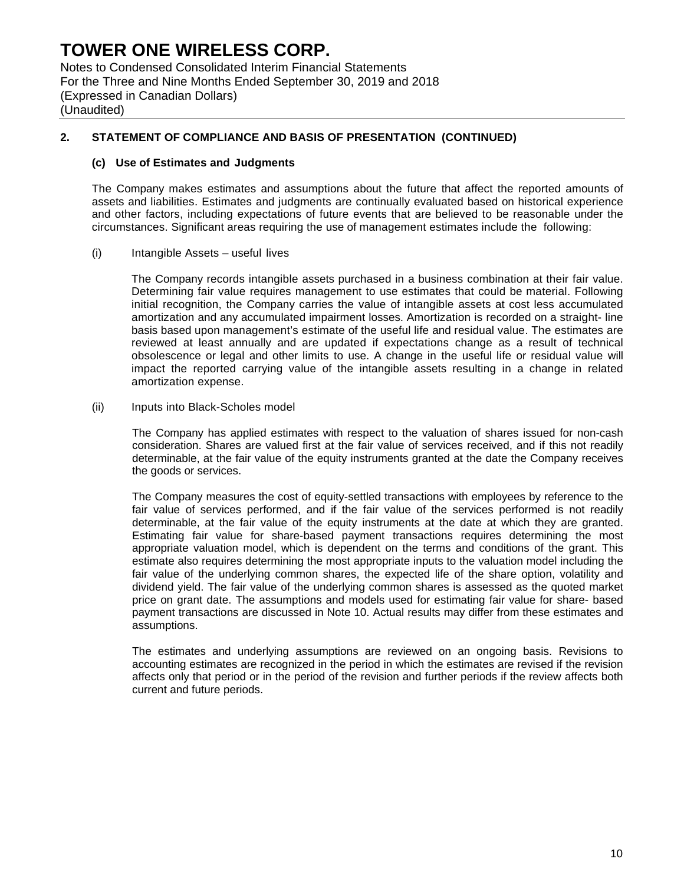Notes to Condensed Consolidated Interim Financial Statements For the Three and Nine Months Ended September 30, 2019 and 2018 (Expressed in Canadian Dollars) (Unaudited)

### **2. STATEMENT OF COMPLIANCE AND BASIS OF PRESENTATION (CONTINUED)**

#### **(c) Use of Estimates and Judgments**

The Company makes estimates and assumptions about the future that affect the reported amounts of assets and liabilities. Estimates and judgments are continually evaluated based on historical experience and other factors, including expectations of future events that are believed to be reasonable under the circumstances. Significant areas requiring the use of management estimates include the following:

#### (i) Intangible Assets – useful lives

The Company records intangible assets purchased in a business combination at their fair value. Determining fair value requires management to use estimates that could be material. Following initial recognition, the Company carries the value of intangible assets at cost less accumulated amortization and any accumulated impairment losses. Amortization is recorded on a straight- line basis based upon management's estimate of the useful life and residual value. The estimates are reviewed at least annually and are updated if expectations change as a result of technical obsolescence or legal and other limits to use. A change in the useful life or residual value will impact the reported carrying value of the intangible assets resulting in a change in related amortization expense.

#### (ii) Inputs into Black-Scholes model

The Company has applied estimates with respect to the valuation of shares issued for non-cash consideration. Shares are valued first at the fair value of services received, and if this not readily determinable, at the fair value of the equity instruments granted at the date the Company receives the goods or services.

The Company measures the cost of equity-settled transactions with employees by reference to the fair value of services performed, and if the fair value of the services performed is not readily determinable, at the fair value of the equity instruments at the date at which they are granted. Estimating fair value for share-based payment transactions requires determining the most appropriate valuation model, which is dependent on the terms and conditions of the grant. This estimate also requires determining the most appropriate inputs to the valuation model including the fair value of the underlying common shares, the expected life of the share option, volatility and dividend yield. The fair value of the underlying common shares is assessed as the quoted market price on grant date. The assumptions and models used for estimating fair value for share- based payment transactions are discussed in Note 10. Actual results may differ from these estimates and assumptions.

The estimates and underlying assumptions are reviewed on an ongoing basis. Revisions to accounting estimates are recognized in the period in which the estimates are revised if the revision affects only that period or in the period of the revision and further periods if the review affects both current and future periods.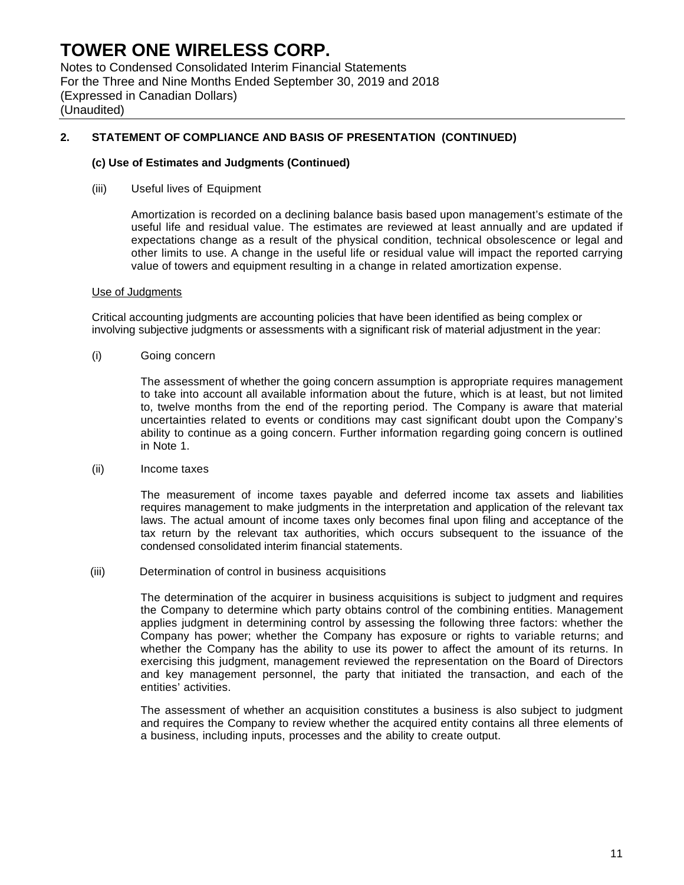Notes to Condensed Consolidated Interim Financial Statements For the Three and Nine Months Ended September 30, 2019 and 2018 (Expressed in Canadian Dollars) (Unaudited)

### **2. STATEMENT OF COMPLIANCE AND BASIS OF PRESENTATION (CONTINUED)**

#### **(c) Use of Estimates and Judgments (Continued)**

(iii) Useful lives of Equipment

Amortization is recorded on a declining balance basis based upon management's estimate of the useful life and residual value. The estimates are reviewed at least annually and are updated if expectations change as a result of the physical condition, technical obsolescence or legal and other limits to use. A change in the useful life or residual value will impact the reported carrying value of towers and equipment resulting in a change in related amortization expense.

#### Use of Judgments

Critical accounting judgments are accounting policies that have been identified as being complex or involving subjective judgments or assessments with a significant risk of material adjustment in the year:

(i) Going concern

The assessment of whether the going concern assumption is appropriate requires management to take into account all available information about the future, which is at least, but not limited to, twelve months from the end of the reporting period. The Company is aware that material uncertainties related to events or conditions may cast significant doubt upon the Company's ability to continue as a going concern. Further information regarding going concern is outlined in Note 1.

(ii) Income taxes

The measurement of income taxes payable and deferred income tax assets and liabilities requires management to make judgments in the interpretation and application of the relevant tax laws. The actual amount of income taxes only becomes final upon filing and acceptance of the tax return by the relevant tax authorities, which occurs subsequent to the issuance of the condensed consolidated interim financial statements.

(iii) Determination of control in business acquisitions

The determination of the acquirer in business acquisitions is subject to judgment and requires the Company to determine which party obtains control of the combining entities. Management applies judgment in determining control by assessing the following three factors: whether the Company has power; whether the Company has exposure or rights to variable returns; and whether the Company has the ability to use its power to affect the amount of its returns. In exercising this judgment, management reviewed the representation on the Board of Directors and key management personnel, the party that initiated the transaction, and each of the entities' activities.

The assessment of whether an acquisition constitutes a business is also subject to judgment and requires the Company to review whether the acquired entity contains all three elements of a business, including inputs, processes and the ability to create output.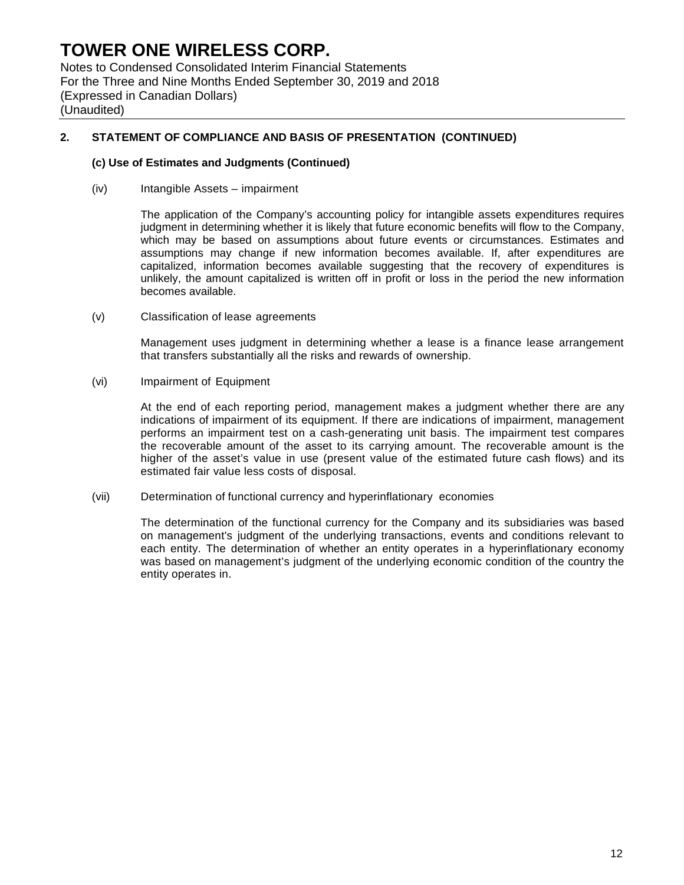Notes to Condensed Consolidated Interim Financial Statements For the Three and Nine Months Ended September 30, 2019 and 2018 (Expressed in Canadian Dollars) (Unaudited)

### **2. STATEMENT OF COMPLIANCE AND BASIS OF PRESENTATION (CONTINUED)**

#### **(c) Use of Estimates and Judgments (Continued)**

(iv) Intangible Assets – impairment

The application of the Company's accounting policy for intangible assets expenditures requires judgment in determining whether it is likely that future economic benefits will flow to the Company, which may be based on assumptions about future events or circumstances. Estimates and assumptions may change if new information becomes available. If, after expenditures are capitalized, information becomes available suggesting that the recovery of expenditures is unlikely, the amount capitalized is written off in profit or loss in the period the new information becomes available.

(v) Classification of lease agreements

Management uses judgment in determining whether a lease is a finance lease arrangement that transfers substantially all the risks and rewards of ownership.

(vi) Impairment of Equipment

At the end of each reporting period, management makes a judgment whether there are any indications of impairment of its equipment. If there are indications of impairment, management performs an impairment test on a cash-generating unit basis. The impairment test compares the recoverable amount of the asset to its carrying amount. The recoverable amount is the higher of the asset's value in use (present value of the estimated future cash flows) and its estimated fair value less costs of disposal.

(vii) Determination of functional currency and hyperinflationary economies

The determination of the functional currency for the Company and its subsidiaries was based on management's judgment of the underlying transactions, events and conditions relevant to each entity. The determination of whether an entity operates in a hyperinflationary economy was based on management's judgment of the underlying economic condition of the country the entity operates in.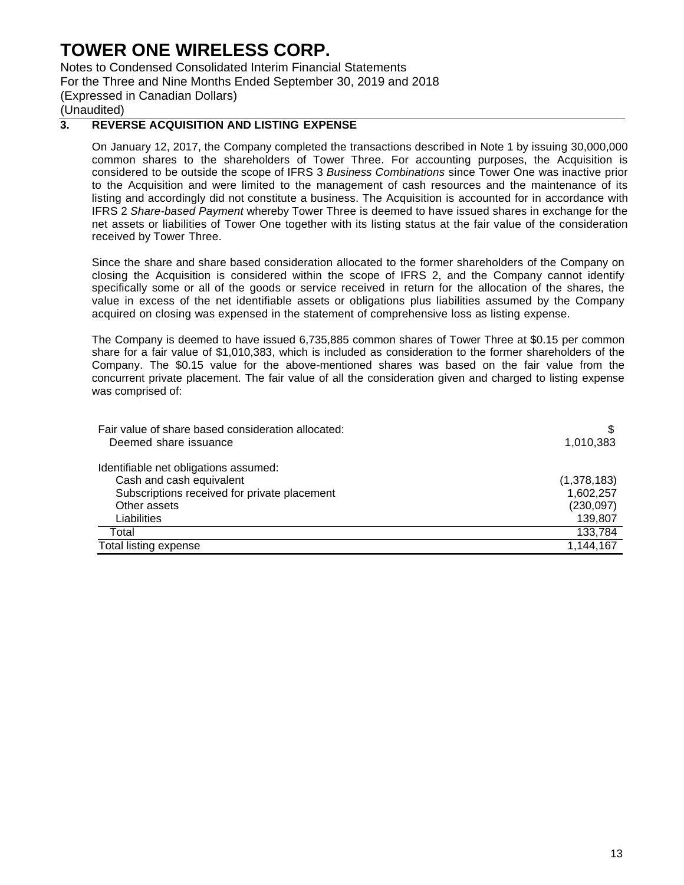Notes to Condensed Consolidated Interim Financial Statements For the Three and Nine Months Ended September 30, 2019 and 2018 (Expressed in Canadian Dollars) (Unaudited)

### **3. REVERSE ACQUISITION AND LISTING EXPENSE**

On January 12, 2017, the Company completed the transactions described in Note 1 by issuing 30,000,000 common shares to the shareholders of Tower Three. For accounting purposes, the Acquisition is considered to be outside the scope of IFRS 3 *Business Combinations* since Tower One was inactive prior to the Acquisition and were limited to the management of cash resources and the maintenance of its listing and accordingly did not constitute a business. The Acquisition is accounted for in accordance with IFRS 2 *Share-based Payment* whereby Tower Three is deemed to have issued shares in exchange for the net assets or liabilities of Tower One together with its listing status at the fair value of the consideration received by Tower Three.

Since the share and share based consideration allocated to the former shareholders of the Company on closing the Acquisition is considered within the scope of IFRS 2, and the Company cannot identify specifically some or all of the goods or service received in return for the allocation of the shares, the value in excess of the net identifiable assets or obligations plus liabilities assumed by the Company acquired on closing was expensed in the statement of comprehensive loss as listing expense.

The Company is deemed to have issued 6,735,885 common shares of Tower Three at \$0.15 per common share for a fair value of \$1,010,383, which is included as consideration to the former shareholders of the Company. The \$0.15 value for the above-mentioned shares was based on the fair value from the concurrent private placement. The fair value of all the consideration given and charged to listing expense was comprised of:

| Fair value of share based consideration allocated:<br>Deemed share issuance | 1,010,383   |
|-----------------------------------------------------------------------------|-------------|
|                                                                             |             |
| Identifiable net obligations assumed:                                       |             |
| Cash and cash equivalent                                                    | (1,378,183) |
| Subscriptions received for private placement                                | 1,602,257   |
| Other assets                                                                | (230,097)   |
| Liabilities                                                                 | 139,807     |
| Total                                                                       | 133,784     |
| Total listing expense                                                       | 1,144,167   |
|                                                                             |             |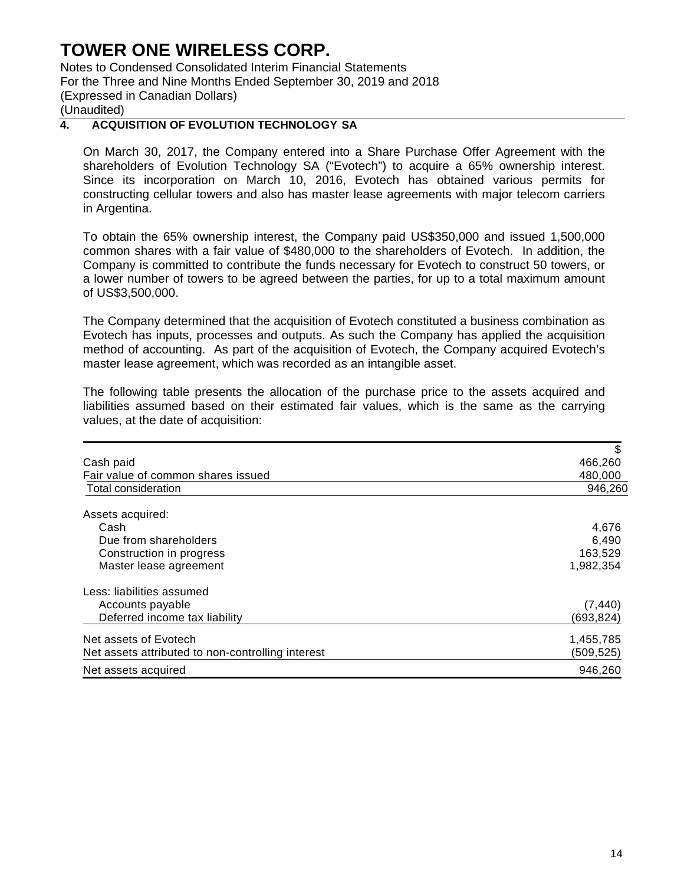Notes to Condensed Consolidated Interim Financial Statements For the Three and Nine Months Ended September 30, 2019 and 2018 (Expressed in Canadian Dollars) (Unaudited)

### **4. ACQUISITION OF EVOLUTION TECHNOLOGY SA**

On March 30, 2017, the Company entered into a Share Purchase Offer Agreement with the shareholders of Evolution Technology SA ("Evotech") to acquire a 65% ownership interest. Since its incorporation on March 10, 2016, Evotech has obtained various permits for constructing cellular towers and also has master lease agreements with major telecom carriers in Argentina.

To obtain the 65% ownership interest, the Company paid US\$350,000 and issued 1,500,000 common shares with a fair value of \$480,000 to the shareholders of Evotech. In addition, the Company is committed to contribute the funds necessary for Evotech to construct 50 towers, or a lower number of towers to be agreed between the parties, for up to a total maximum amount of US\$3,500,000.

The Company determined that the acquisition of Evotech constituted a business combination as Evotech has inputs, processes and outputs. As such the Company has applied the acquisition method of accounting. As part of the acquisition of Evotech, the Company acquired Evotech's master lease agreement, which was recorded as an intangible asset.

The following table presents the allocation of the purchase price to the assets acquired and liabilities assumed based on their estimated fair values, which is the same as the carrying values, at the date of acquisition:

|                                                   | S         |
|---------------------------------------------------|-----------|
| Cash paid                                         | 466,260   |
| Fair value of common shares issued                | 480,000   |
| Total consideration                               | 946,260   |
| Assets acquired:                                  |           |
| Cash                                              | 4,676     |
| Due from shareholders                             | 6,490     |
| Construction in progress                          | 163,529   |
| Master lease agreement                            | 1,982,354 |
| Less: liabilities assumed                         |           |
| Accounts payable                                  | (7, 440)  |
| Deferred income tax liability                     | (693,824) |
| Net assets of Evotech                             | 1,455,785 |
| Net assets attributed to non-controlling interest | (509,525) |
| Net assets acquired                               | 946,260   |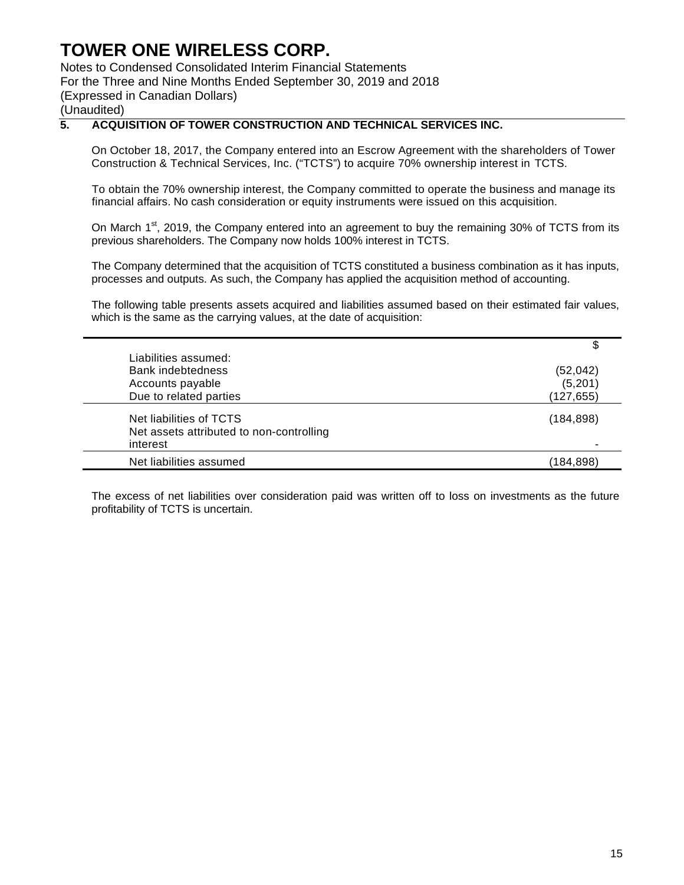Notes to Condensed Consolidated Interim Financial Statements For the Three and Nine Months Ended September 30, 2019 and 2018

(Expressed in Canadian Dollars)

(Unaudited)

## **5. ACQUISITION OF TOWER CONSTRUCTION AND TECHNICAL SERVICES INC.**

On October 18, 2017, the Company entered into an Escrow Agreement with the shareholders of Tower Construction & Technical Services, Inc. ("TCTS") to acquire 70% ownership interest in TCTS.

To obtain the 70% ownership interest, the Company committed to operate the business and manage its financial affairs. No cash consideration or equity instruments were issued on this acquisition.

On March 1<sup>st</sup>, 2019, the Company entered into an agreement to buy the remaining 30% of TCTS from its previous shareholders. The Company now holds 100% interest in TCTS.

The Company determined that the acquisition of TCTS constituted a business combination as it has inputs, processes and outputs. As such, the Company has applied the acquisition method of accounting.

The following table presents assets acquired and liabilities assumed based on their estimated fair values, which is the same as the carrying values, at the date of acquisition:

|                                                                                 | \$         |
|---------------------------------------------------------------------------------|------------|
| Liabilities assumed:                                                            |            |
| Bank indebtedness                                                               | (52, 042)  |
| Accounts payable                                                                | (5,201)    |
| Due to related parties                                                          | (127, 655) |
| Net liabilities of TCTS<br>Net assets attributed to non-controlling<br>interest | (184, 898) |
| Net liabilities assumed                                                         | (184,898)  |

The excess of net liabilities over consideration paid was written off to loss on investments as the future profitability of TCTS is uncertain.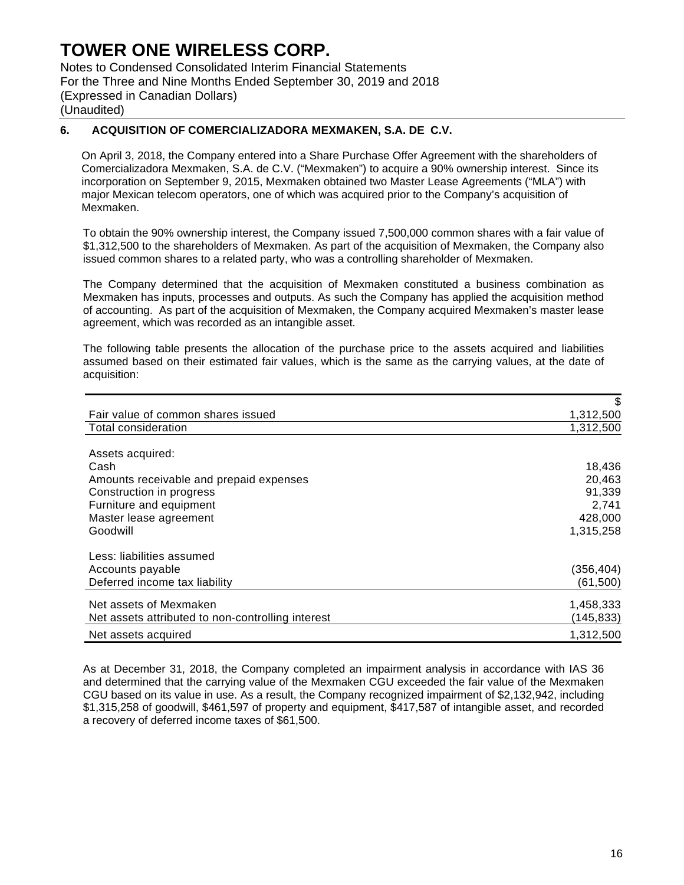Notes to Condensed Consolidated Interim Financial Statements For the Three and Nine Months Ended September 30, 2019 and 2018 (Expressed in Canadian Dollars) (Unaudited)

### **6. ACQUISITION OF COMERCIALIZADORA MEXMAKEN, S.A. DE C.V.**

On April 3, 2018, the Company entered into a Share Purchase Offer Agreement with the shareholders of Comercializadora Mexmaken, S.A. de C.V. ("Mexmaken") to acquire a 90% ownership interest. Since its incorporation on September 9, 2015, Mexmaken obtained two Master Lease Agreements ("MLA") with major Mexican telecom operators, one of which was acquired prior to the Company's acquisition of Mexmaken.

To obtain the 90% ownership interest, the Company issued 7,500,000 common shares with a fair value of \$1,312,500 to the shareholders of Mexmaken. As part of the acquisition of Mexmaken, the Company also issued common shares to a related party, who was a controlling shareholder of Mexmaken.

The Company determined that the acquisition of Mexmaken constituted a business combination as Mexmaken has inputs, processes and outputs. As such the Company has applied the acquisition method of accounting. As part of the acquisition of Mexmaken, the Company acquired Mexmaken's master lease agreement, which was recorded as an intangible asset.

The following table presents the allocation of the purchase price to the assets acquired and liabilities assumed based on their estimated fair values, which is the same as the carrying values, at the date of acquisition:

|                                                   | \$        |
|---------------------------------------------------|-----------|
| Fair value of common shares issued                | 1,312,500 |
| Total consideration                               | 1,312,500 |
|                                                   |           |
| Assets acquired:                                  |           |
| Cash                                              | 18,436    |
| Amounts receivable and prepaid expenses           | 20,463    |
| Construction in progress                          | 91,339    |
| Furniture and equipment                           | 2,741     |
| Master lease agreement                            | 428,000   |
| Goodwill                                          | 1,315,258 |
| Less: liabilities assumed                         |           |
| Accounts payable                                  | (356,404) |
| Deferred income tax liability                     | (61,500)  |
| Net assets of Mexmaken                            | 1,458,333 |
| Net assets attributed to non-controlling interest | (145,833) |
| Net assets acquired                               | 1,312,500 |

As at December 31, 2018, the Company completed an impairment analysis in accordance with IAS 36 and determined that the carrying value of the Mexmaken CGU exceeded the fair value of the Mexmaken CGU based on its value in use. As a result, the Company recognized impairment of \$2,132,942, including \$1,315,258 of goodwill, \$461,597 of property and equipment, \$417,587 of intangible asset, and recorded a recovery of deferred income taxes of \$61,500.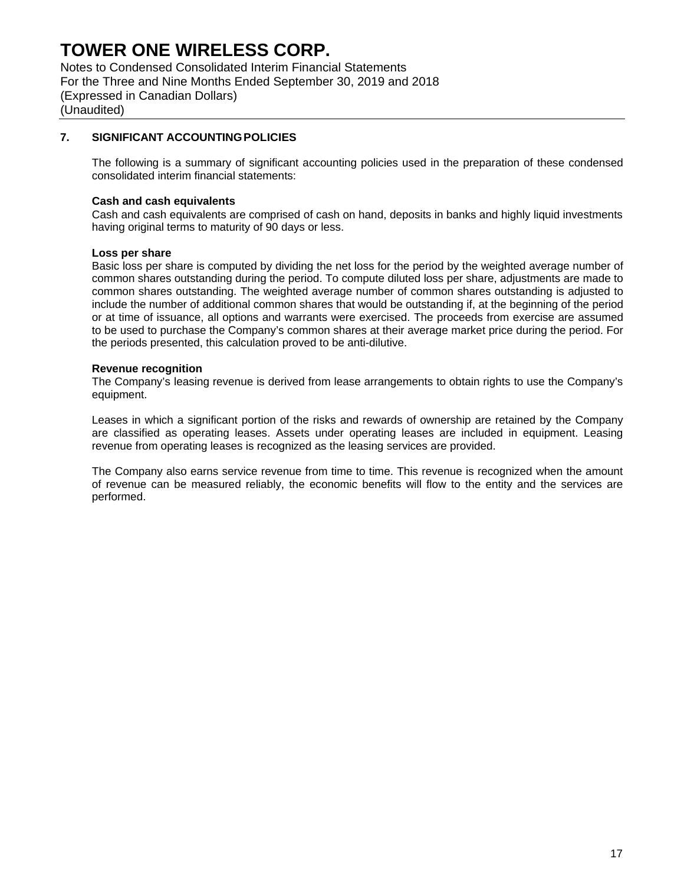Notes to Condensed Consolidated Interim Financial Statements For the Three and Nine Months Ended September 30, 2019 and 2018 (Expressed in Canadian Dollars) (Unaudited)

### **7. SIGNIFICANT ACCOUNTING POLICIES**

The following is a summary of significant accounting policies used in the preparation of these condensed consolidated interim financial statements:

#### **Cash and cash equivalents**

Cash and cash equivalents are comprised of cash on hand, deposits in banks and highly liquid investments having original terms to maturity of 90 days or less.

#### **Loss per share**

Basic loss per share is computed by dividing the net loss for the period by the weighted average number of common shares outstanding during the period. To compute diluted loss per share, adjustments are made to common shares outstanding. The weighted average number of common shares outstanding is adjusted to include the number of additional common shares that would be outstanding if, at the beginning of the period or at time of issuance, all options and warrants were exercised. The proceeds from exercise are assumed to be used to purchase the Company's common shares at their average market price during the period. For the periods presented, this calculation proved to be anti-dilutive.

#### **Revenue recognition**

The Company's leasing revenue is derived from lease arrangements to obtain rights to use the Company's equipment.

Leases in which a significant portion of the risks and rewards of ownership are retained by the Company are classified as operating leases. Assets under operating leases are included in equipment. Leasing revenue from operating leases is recognized as the leasing services are provided.

The Company also earns service revenue from time to time. This revenue is recognized when the amount of revenue can be measured reliably, the economic benefits will flow to the entity and the services are performed.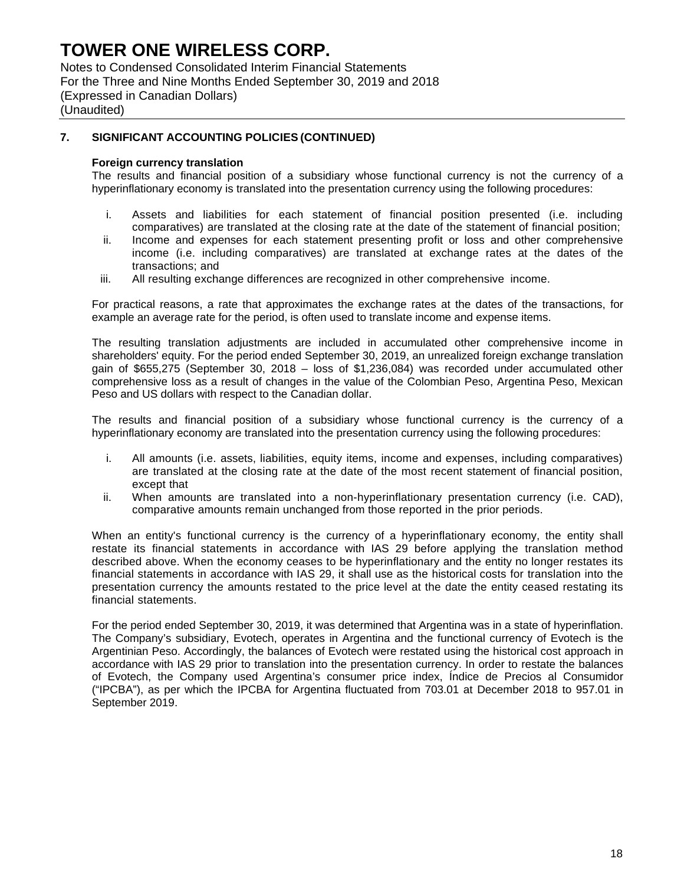Notes to Condensed Consolidated Interim Financial Statements For the Three and Nine Months Ended September 30, 2019 and 2018 (Expressed in Canadian Dollars) (Unaudited)

### **7. SIGNIFICANT ACCOUNTING POLICIES (CONTINUED)**

#### **Foreign currency translation**

The results and financial position of a subsidiary whose functional currency is not the currency of a hyperinflationary economy is translated into the presentation currency using the following procedures:

- i. Assets and liabilities for each statement of financial position presented (i.e. including comparatives) are translated at the closing rate at the date of the statement of financial position;
- ii. Income and expenses for each statement presenting profit or loss and other comprehensive income (i.e. including comparatives) are translated at exchange rates at the dates of the transactions; and
- iii. All resulting exchange differences are recognized in other comprehensive income.

For practical reasons, a rate that approximates the exchange rates at the dates of the transactions, for example an average rate for the period, is often used to translate income and expense items.

The resulting translation adjustments are included in accumulated other comprehensive income in shareholders' equity. For the period ended September 30, 2019, an unrealized foreign exchange translation gain of \$655,275 (September 30, 2018 – loss of \$1,236,084) was recorded under accumulated other comprehensive loss as a result of changes in the value of the Colombian Peso, Argentina Peso, Mexican Peso and US dollars with respect to the Canadian dollar.

The results and financial position of a subsidiary whose functional currency is the currency of a hyperinflationary economy are translated into the presentation currency using the following procedures:

- i. All amounts (i.e. assets, liabilities, equity items, income and expenses, including comparatives) are translated at the closing rate at the date of the most recent statement of financial position, except that
- ii. When amounts are translated into a non-hyperinflationary presentation currency (i.e. CAD), comparative amounts remain unchanged from those reported in the prior periods.

When an entity's functional currency is the currency of a hyperinflationary economy, the entity shall restate its financial statements in accordance with IAS 29 before applying the translation method described above. When the economy ceases to be hyperinflationary and the entity no longer restates its financial statements in accordance with IAS 29, it shall use as the historical costs for translation into the presentation currency the amounts restated to the price level at the date the entity ceased restating its financial statements.

For the period ended September 30, 2019, it was determined that Argentina was in a state of hyperinflation. The Company's subsidiary, Evotech, operates in Argentina and the functional currency of Evotech is the Argentinian Peso. Accordingly, the balances of Evotech were restated using the historical cost approach in accordance with IAS 29 prior to translation into the presentation currency. In order to restate the balances of Evotech, the Company used Argentina's consumer price index, Índice de Precios al Consumidor ("IPCBA"), as per which the IPCBA for Argentina fluctuated from 703.01 at December 2018 to 957.01 in September 2019.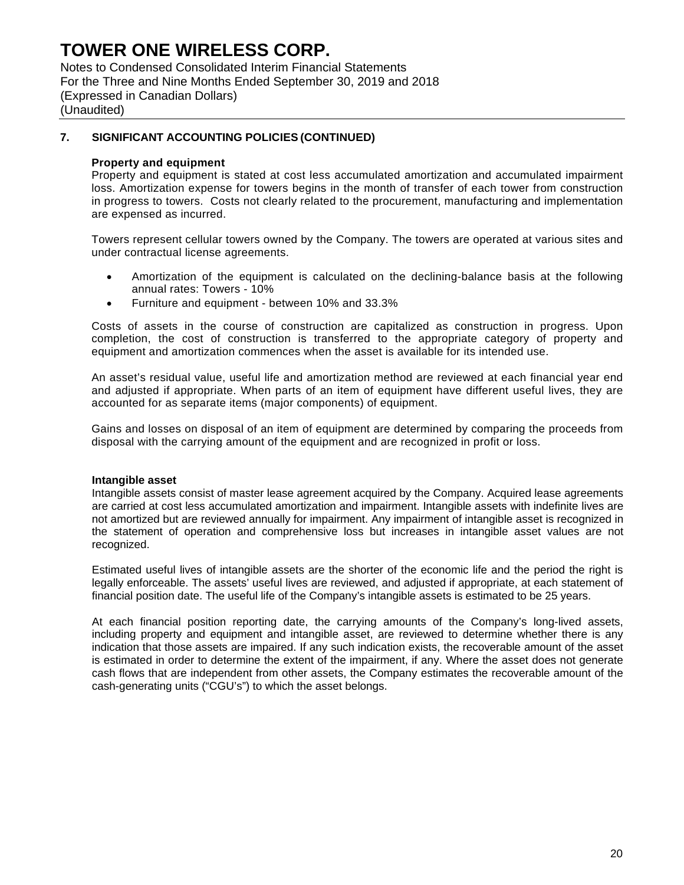Notes to Condensed Consolidated Interim Financial Statements For the Three and Nine Months Ended September 30, 2019 and 2018 (Expressed in Canadian Dollars) (Unaudited)

### **7. SIGNIFICANT ACCOUNTING POLICIES (CONTINUED)**

#### **Property and equipment**

Property and equipment is stated at cost less accumulated amortization and accumulated impairment loss. Amortization expense for towers begins in the month of transfer of each tower from construction in progress to towers. Costs not clearly related to the procurement, manufacturing and implementation are expensed as incurred.

Towers represent cellular towers owned by the Company. The towers are operated at various sites and under contractual license agreements.

- Amortization of the equipment is calculated on the declining-balance basis at the following annual rates: Towers - 10%
- Furniture and equipment between 10% and 33.3%

Costs of assets in the course of construction are capitalized as construction in progress. Upon completion, the cost of construction is transferred to the appropriate category of property and equipment and amortization commences when the asset is available for its intended use.

An asset's residual value, useful life and amortization method are reviewed at each financial year end and adjusted if appropriate. When parts of an item of equipment have different useful lives, they are accounted for as separate items (major components) of equipment.

Gains and losses on disposal of an item of equipment are determined by comparing the proceeds from disposal with the carrying amount of the equipment and are recognized in profit or loss.

#### **Intangible asset**

Intangible assets consist of master lease agreement acquired by the Company. Acquired lease agreements are carried at cost less accumulated amortization and impairment. Intangible assets with indefinite lives are not amortized but are reviewed annually for impairment. Any impairment of intangible asset is recognized in the statement of operation and comprehensive loss but increases in intangible asset values are not recognized.

Estimated useful lives of intangible assets are the shorter of the economic life and the period the right is legally enforceable. The assets' useful lives are reviewed, and adjusted if appropriate, at each statement of financial position date. The useful life of the Company's intangible assets is estimated to be 25 years.

At each financial position reporting date, the carrying amounts of the Company's long-lived assets, including property and equipment and intangible asset, are reviewed to determine whether there is any indication that those assets are impaired. If any such indication exists, the recoverable amount of the asset is estimated in order to determine the extent of the impairment, if any. Where the asset does not generate cash flows that are independent from other assets, the Company estimates the recoverable amount of the cash-generating units ("CGU's") to which the asset belongs.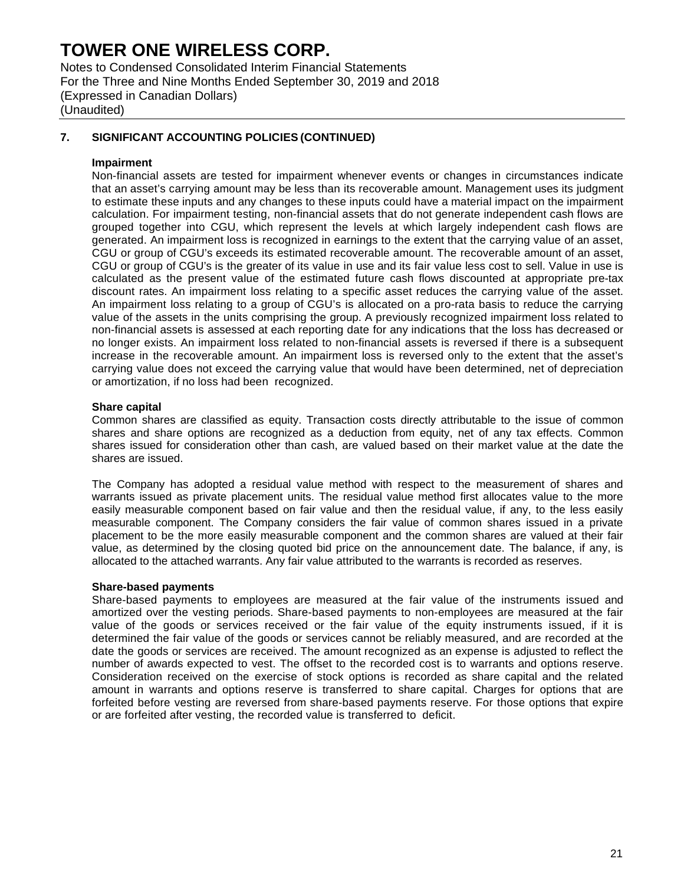Notes to Condensed Consolidated Interim Financial Statements For the Three and Nine Months Ended September 30, 2019 and 2018 (Expressed in Canadian Dollars) (Unaudited)

### **7. SIGNIFICANT ACCOUNTING POLICIES (CONTINUED)**

#### **Impairment**

Non-financial assets are tested for impairment whenever events or changes in circumstances indicate that an asset's carrying amount may be less than its recoverable amount. Management uses its judgment to estimate these inputs and any changes to these inputs could have a material impact on the impairment calculation. For impairment testing, non-financial assets that do not generate independent cash flows are grouped together into CGU, which represent the levels at which largely independent cash flows are generated. An impairment loss is recognized in earnings to the extent that the carrying value of an asset, CGU or group of CGU's exceeds its estimated recoverable amount. The recoverable amount of an asset, CGU or group of CGU's is the greater of its value in use and its fair value less cost to sell. Value in use is calculated as the present value of the estimated future cash flows discounted at appropriate pre-tax discount rates. An impairment loss relating to a specific asset reduces the carrying value of the asset. An impairment loss relating to a group of CGU's is allocated on a pro-rata basis to reduce the carrying value of the assets in the units comprising the group. A previously recognized impairment loss related to non-financial assets is assessed at each reporting date for any indications that the loss has decreased or no longer exists. An impairment loss related to non-financial assets is reversed if there is a subsequent increase in the recoverable amount. An impairment loss is reversed only to the extent that the asset's carrying value does not exceed the carrying value that would have been determined, net of depreciation or amortization, if no loss had been recognized.

#### **Share capital**

Common shares are classified as equity. Transaction costs directly attributable to the issue of common shares and share options are recognized as a deduction from equity, net of any tax effects. Common shares issued for consideration other than cash, are valued based on their market value at the date the shares are issued.

The Company has adopted a residual value method with respect to the measurement of shares and warrants issued as private placement units. The residual value method first allocates value to the more easily measurable component based on fair value and then the residual value, if any, to the less easily measurable component. The Company considers the fair value of common shares issued in a private placement to be the more easily measurable component and the common shares are valued at their fair value, as determined by the closing quoted bid price on the announcement date. The balance, if any, is allocated to the attached warrants. Any fair value attributed to the warrants is recorded as reserves.

#### **Share-based payments**

Share-based payments to employees are measured at the fair value of the instruments issued and amortized over the vesting periods. Share-based payments to non-employees are measured at the fair value of the goods or services received or the fair value of the equity instruments issued, if it is determined the fair value of the goods or services cannot be reliably measured, and are recorded at the date the goods or services are received. The amount recognized as an expense is adjusted to reflect the number of awards expected to vest. The offset to the recorded cost is to warrants and options reserve. Consideration received on the exercise of stock options is recorded as share capital and the related amount in warrants and options reserve is transferred to share capital. Charges for options that are forfeited before vesting are reversed from share-based payments reserve. For those options that expire or are forfeited after vesting, the recorded value is transferred to deficit.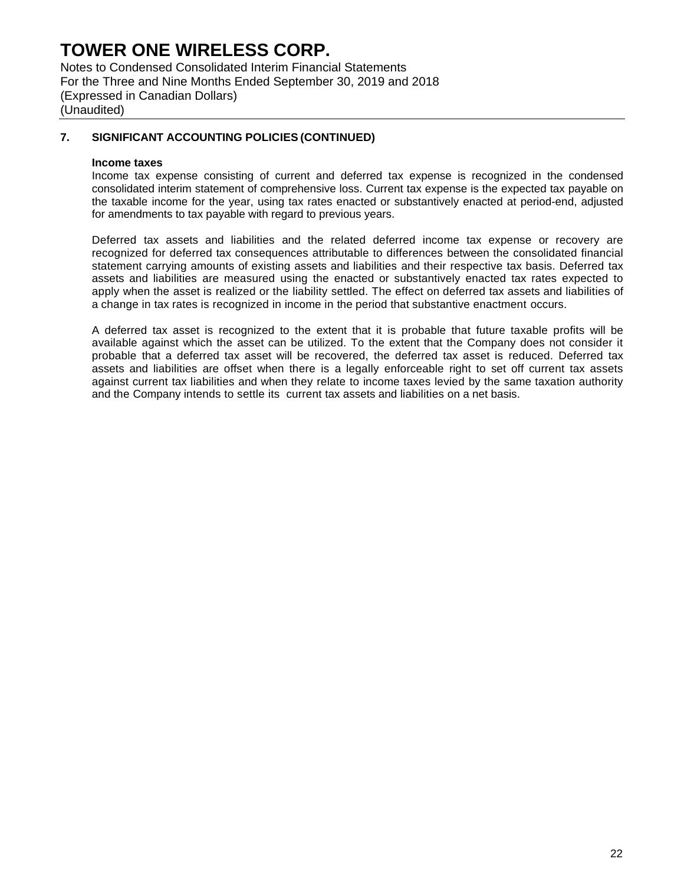Notes to Condensed Consolidated Interim Financial Statements For the Three and Nine Months Ended September 30, 2019 and 2018 (Expressed in Canadian Dollars) (Unaudited)

### **7. SIGNIFICANT ACCOUNTING POLICIES (CONTINUED)**

#### **Income taxes**

Income tax expense consisting of current and deferred tax expense is recognized in the condensed consolidated interim statement of comprehensive loss. Current tax expense is the expected tax payable on the taxable income for the year, using tax rates enacted or substantively enacted at period-end, adjusted for amendments to tax payable with regard to previous years.

Deferred tax assets and liabilities and the related deferred income tax expense or recovery are recognized for deferred tax consequences attributable to differences between the consolidated financial statement carrying amounts of existing assets and liabilities and their respective tax basis. Deferred tax assets and liabilities are measured using the enacted or substantively enacted tax rates expected to apply when the asset is realized or the liability settled. The effect on deferred tax assets and liabilities of a change in tax rates is recognized in income in the period that substantive enactment occurs.

A deferred tax asset is recognized to the extent that it is probable that future taxable profits will be available against which the asset can be utilized. To the extent that the Company does not consider it probable that a deferred tax asset will be recovered, the deferred tax asset is reduced. Deferred tax assets and liabilities are offset when there is a legally enforceable right to set off current tax assets against current tax liabilities and when they relate to income taxes levied by the same taxation authority and the Company intends to settle its current tax assets and liabilities on a net basis.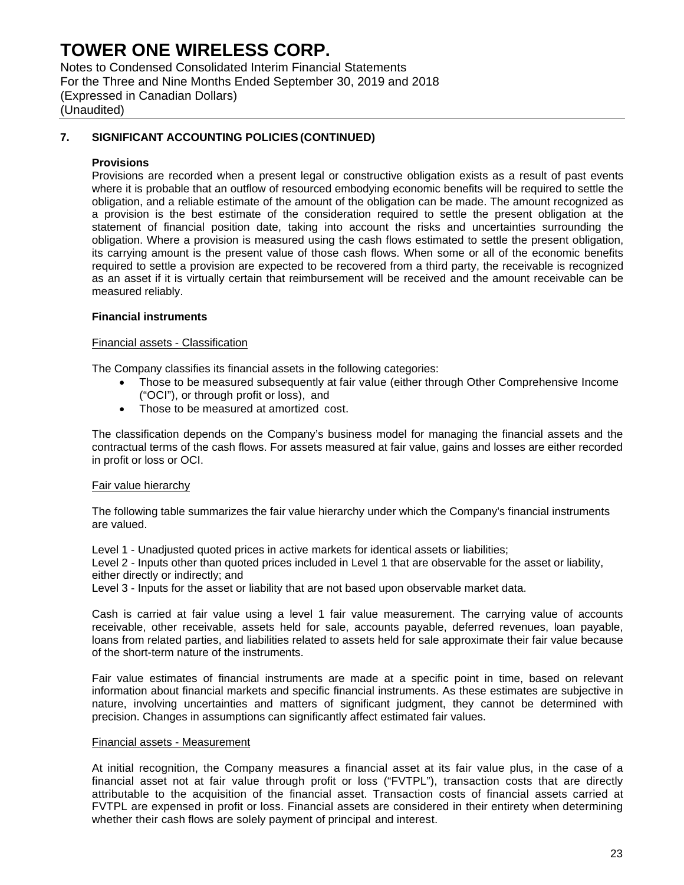Notes to Condensed Consolidated Interim Financial Statements For the Three and Nine Months Ended September 30, 2019 and 2018 (Expressed in Canadian Dollars) (Unaudited)

### **7. SIGNIFICANT ACCOUNTING POLICIES (CONTINUED)**

#### **Provisions**

Provisions are recorded when a present legal or constructive obligation exists as a result of past events where it is probable that an outflow of resourced embodying economic benefits will be required to settle the obligation, and a reliable estimate of the amount of the obligation can be made. The amount recognized as a provision is the best estimate of the consideration required to settle the present obligation at the statement of financial position date, taking into account the risks and uncertainties surrounding the obligation. Where a provision is measured using the cash flows estimated to settle the present obligation, its carrying amount is the present value of those cash flows. When some or all of the economic benefits required to settle a provision are expected to be recovered from a third party, the receivable is recognized as an asset if it is virtually certain that reimbursement will be received and the amount receivable can be measured reliably.

#### **Financial instruments**

#### Financial assets - Classification

The Company classifies its financial assets in the following categories:

- Those to be measured subsequently at fair value (either through Other Comprehensive Income ("OCI"), or through profit or loss), and
- Those to be measured at amortized cost.

The classification depends on the Company's business model for managing the financial assets and the contractual terms of the cash flows. For assets measured at fair value, gains and losses are either recorded in profit or loss or OCI.

#### Fair value hierarchy

The following table summarizes the fair value hierarchy under which the Company's financial instruments are valued.

Level 1 - Unadjusted quoted prices in active markets for identical assets or liabilities;

Level 2 - Inputs other than quoted prices included in Level 1 that are observable for the asset or liability, either directly or indirectly; and

Level 3 - Inputs for the asset or liability that are not based upon observable market data.

Cash is carried at fair value using a level 1 fair value measurement. The carrying value of accounts receivable, other receivable, assets held for sale, accounts payable, deferred revenues, loan payable, loans from related parties, and liabilities related to assets held for sale approximate their fair value because of the short-term nature of the instruments.

Fair value estimates of financial instruments are made at a specific point in time, based on relevant information about financial markets and specific financial instruments. As these estimates are subjective in nature, involving uncertainties and matters of significant judgment, they cannot be determined with precision. Changes in assumptions can significantly affect estimated fair values.

#### Financial assets - Measurement

At initial recognition, the Company measures a financial asset at its fair value plus, in the case of a financial asset not at fair value through profit or loss ("FVTPL"), transaction costs that are directly attributable to the acquisition of the financial asset. Transaction costs of financial assets carried at FVTPL are expensed in profit or loss. Financial assets are considered in their entirety when determining whether their cash flows are solely payment of principal and interest.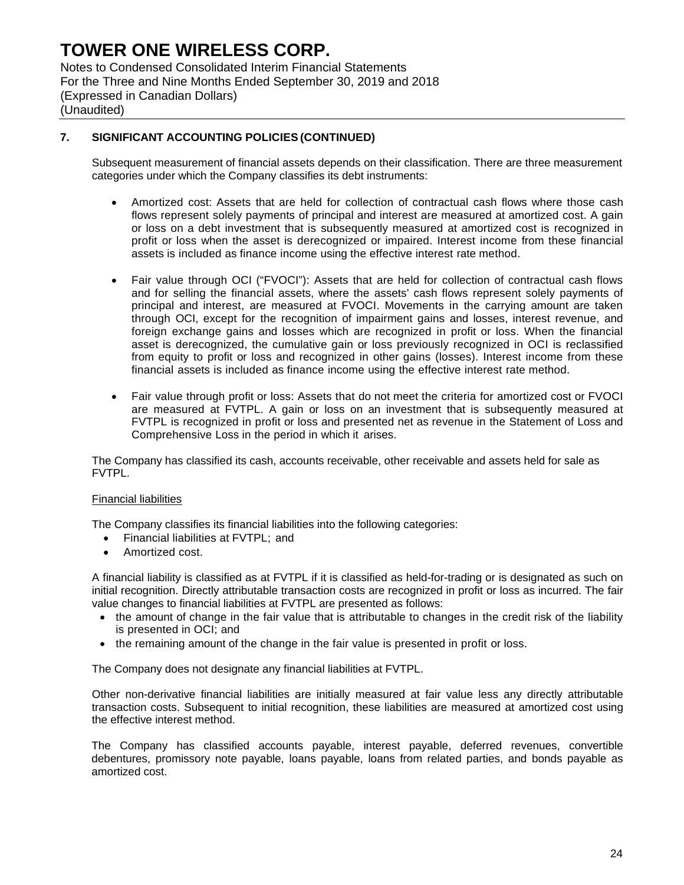Notes to Condensed Consolidated Interim Financial Statements For the Three and Nine Months Ended September 30, 2019 and 2018 (Expressed in Canadian Dollars) (Unaudited)

### **7. SIGNIFICANT ACCOUNTING POLICIES (CONTINUED)**

Subsequent measurement of financial assets depends on their classification. There are three measurement categories under which the Company classifies its debt instruments:

- Amortized cost: Assets that are held for collection of contractual cash flows where those cash flows represent solely payments of principal and interest are measured at amortized cost. A gain or loss on a debt investment that is subsequently measured at amortized cost is recognized in profit or loss when the asset is derecognized or impaired. Interest income from these financial assets is included as finance income using the effective interest rate method.
- Fair value through OCI ("FVOCI"): Assets that are held for collection of contractual cash flows and for selling the financial assets, where the assets' cash flows represent solely payments of principal and interest, are measured at FVOCI. Movements in the carrying amount are taken through OCI, except for the recognition of impairment gains and losses, interest revenue, and foreign exchange gains and losses which are recognized in profit or loss. When the financial asset is derecognized, the cumulative gain or loss previously recognized in OCI is reclassified from equity to profit or loss and recognized in other gains (losses). Interest income from these financial assets is included as finance income using the effective interest rate method.
- Fair value through profit or loss: Assets that do not meet the criteria for amortized cost or FVOCI are measured at FVTPL. A gain or loss on an investment that is subsequently measured at FVTPL is recognized in profit or loss and presented net as revenue in the Statement of Loss and Comprehensive Loss in the period in which it arises.

The Company has classified its cash, accounts receivable, other receivable and assets held for sale as FVTPL.

### Financial liabilities

The Company classifies its financial liabilities into the following categories:

- Financial liabilities at FVTPL; and
- Amortized cost.

A financial liability is classified as at FVTPL if it is classified as held-for-trading or is designated as such on initial recognition. Directly attributable transaction costs are recognized in profit or loss as incurred. The fair value changes to financial liabilities at FVTPL are presented as follows:

- the amount of change in the fair value that is attributable to changes in the credit risk of the liability is presented in OCI; and
- the remaining amount of the change in the fair value is presented in profit or loss.

The Company does not designate any financial liabilities at FVTPL.

Other non-derivative financial liabilities are initially measured at fair value less any directly attributable transaction costs. Subsequent to initial recognition, these liabilities are measured at amortized cost using the effective interest method.

The Company has classified accounts payable, interest payable, deferred revenues, convertible debentures, promissory note payable, loans payable, loans from related parties, and bonds payable as amortized cost.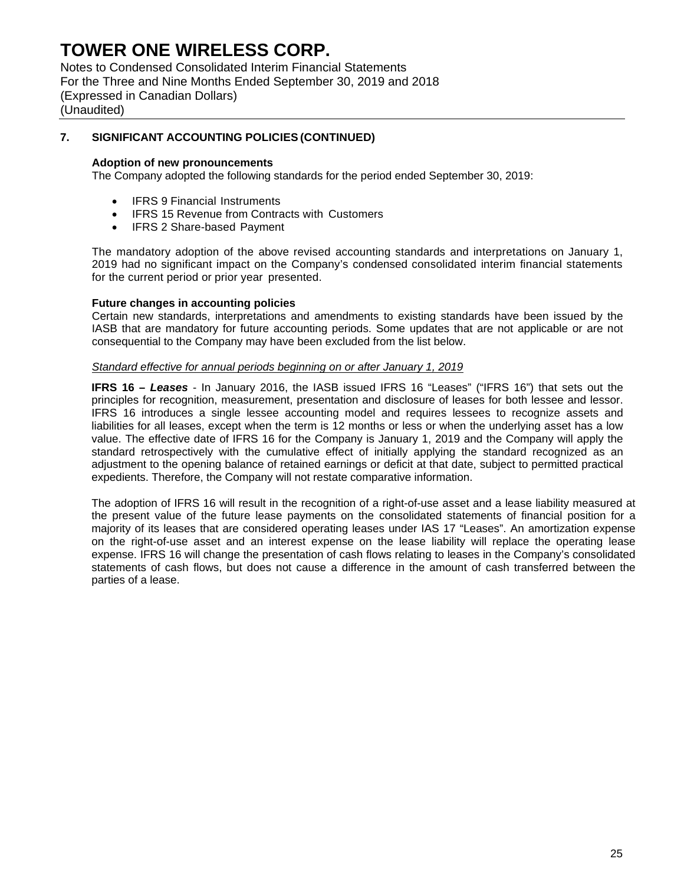Notes to Condensed Consolidated Interim Financial Statements For the Three and Nine Months Ended September 30, 2019 and 2018 (Expressed in Canadian Dollars) (Unaudited)

### **7. SIGNIFICANT ACCOUNTING POLICIES (CONTINUED)**

#### **Adoption of new pronouncements**

The Company adopted the following standards for the period ended September 30, 2019:

- IFRS 9 Financial Instruments
- IFRS 15 Revenue from Contracts with Customers
- IFRS 2 Share-based Payment

The mandatory adoption of the above revised accounting standards and interpretations on January 1, 2019 had no significant impact on the Company's condensed consolidated interim financial statements for the current period or prior year presented.

#### **Future changes in accounting policies**

Certain new standards, interpretations and amendments to existing standards have been issued by the IASB that are mandatory for future accounting periods. Some updates that are not applicable or are not consequential to the Company may have been excluded from the list below.

#### *Standard effective for annual periods beginning on or after January 1, 2019*

**IFRS 16 –** *Leases* - In January 2016, the IASB issued IFRS 16 "Leases" ("IFRS 16") that sets out the principles for recognition, measurement, presentation and disclosure of leases for both lessee and lessor. IFRS 16 introduces a single lessee accounting model and requires lessees to recognize assets and liabilities for all leases, except when the term is 12 months or less or when the underlying asset has a low value. The effective date of IFRS 16 for the Company is January 1, 2019 and the Company will apply the standard retrospectively with the cumulative effect of initially applying the standard recognized as an adjustment to the opening balance of retained earnings or deficit at that date, subject to permitted practical expedients. Therefore, the Company will not restate comparative information.

The adoption of IFRS 16 will result in the recognition of a right-of-use asset and a lease liability measured at the present value of the future lease payments on the consolidated statements of financial position for a majority of its leases that are considered operating leases under IAS 17 "Leases". An amortization expense on the right-of-use asset and an interest expense on the lease liability will replace the operating lease expense. IFRS 16 will change the presentation of cash flows relating to leases in the Company's consolidated statements of cash flows, but does not cause a difference in the amount of cash transferred between the parties of a lease.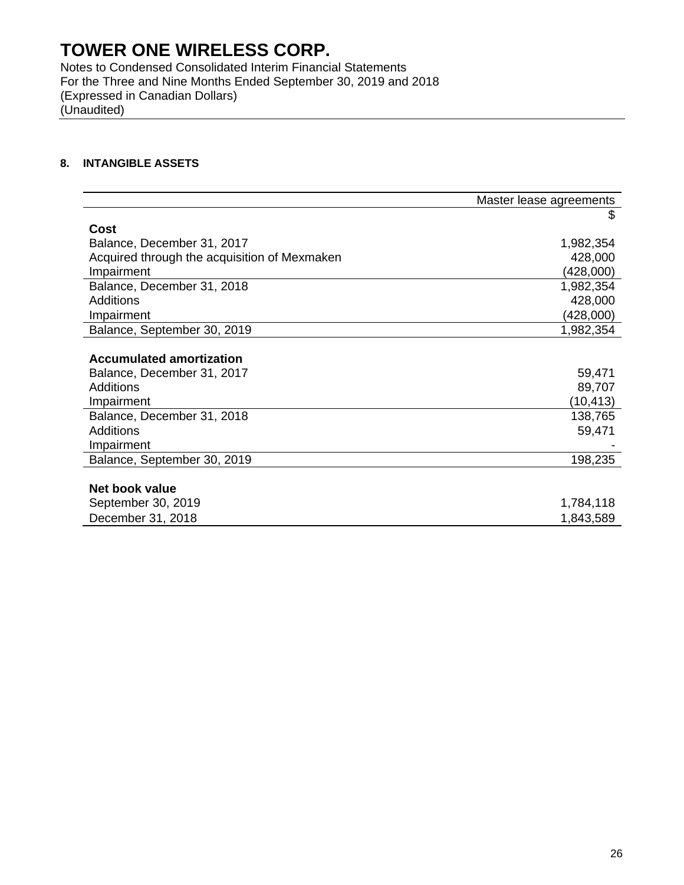Notes to Condensed Consolidated Interim Financial Statements For the Three and Nine Months Ended September 30, 2019 and 2018 (Expressed in Canadian Dollars) (Unaudited)

### **8. INTANGIBLE ASSETS**

|                                              | Master lease agreements |
|----------------------------------------------|-------------------------|
|                                              | \$                      |
| Cost                                         |                         |
| Balance, December 31, 2017                   | 1,982,354               |
| Acquired through the acquisition of Mexmaken | 428,000                 |
| Impairment                                   | (428,000)               |
| Balance, December 31, 2018                   | 1,982,354               |
| <b>Additions</b>                             | 428,000                 |
| Impairment                                   | (428,000)               |
| Balance, September 30, 2019                  | 1,982,354               |
|                                              |                         |
| <b>Accumulated amortization</b>              |                         |
| Balance, December 31, 2017                   | 59,471                  |
| <b>Additions</b>                             | 89,707                  |
| Impairment                                   | (10, 413)               |
| Balance, December 31, 2018                   | 138,765                 |
| Additions                                    | 59,471                  |
| Impairment                                   |                         |
| Balance, September 30, 2019                  | 198,235                 |
|                                              |                         |
| Net book value                               |                         |
| September 30, 2019                           | 1,784,118               |
| December 31, 2018                            | 1,843,589               |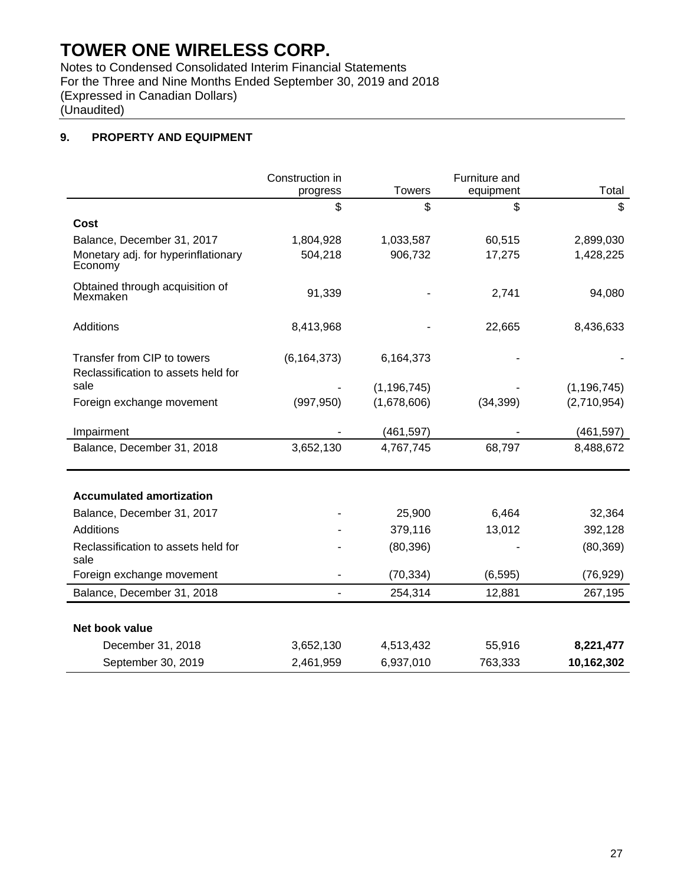Notes to Condensed Consolidated Interim Financial Statements For the Three and Nine Months Ended September 30, 2019 and 2018 (Expressed in Canadian Dollars) (Unaudited)

### **9. PROPERTY AND EQUIPMENT**

|                                                                    | Construction in<br>progress | <b>Towers</b> | Furniture and<br>equipment | Total         |
|--------------------------------------------------------------------|-----------------------------|---------------|----------------------------|---------------|
|                                                                    | \$                          | \$            | \$                         | \$            |
| Cost                                                               |                             |               |                            |               |
| Balance, December 31, 2017                                         | 1,804,928                   | 1,033,587     | 60,515                     | 2,899,030     |
| Monetary adj. for hyperinflationary<br>Economy                     | 504,218                     | 906,732       | 17,275                     | 1,428,225     |
| Obtained through acquisition of<br>Mexmaken                        | 91,339                      |               | 2,741                      | 94,080        |
| Additions                                                          | 8,413,968                   |               | 22,665                     | 8,436,633     |
| Transfer from CIP to towers<br>Reclassification to assets held for | (6, 164, 373)               | 6,164,373     |                            |               |
| sale                                                               |                             | (1, 196, 745) |                            | (1, 196, 745) |
| Foreign exchange movement                                          | (997, 950)                  | (1,678,606)   | (34, 399)                  | (2,710,954)   |
| Impairment                                                         |                             | (461,597)     |                            | (461, 597)    |
| Balance, December 31, 2018                                         | 3,652,130                   | 4,767,745     | 68,797                     | 8,488,672     |
| <b>Accumulated amortization</b>                                    |                             |               |                            |               |
| Balance, December 31, 2017                                         |                             | 25,900        | 6,464                      | 32,364        |
| Additions                                                          |                             | 379,116       | 13,012                     | 392,128       |
| Reclassification to assets held for<br>sale                        |                             | (80, 396)     |                            | (80, 369)     |
| Foreign exchange movement                                          |                             | (70, 334)     | (6, 595)                   | (76, 929)     |
| Balance, December 31, 2018                                         | $\overline{\phantom{a}}$    | 254,314       | 12,881                     | 267,195       |
| Net book value                                                     |                             |               |                            |               |
| December 31, 2018                                                  | 3,652,130                   | 4,513,432     | 55,916                     | 8,221,477     |
| September 30, 2019                                                 | 2,461,959                   | 6,937,010     | 763,333                    | 10,162,302    |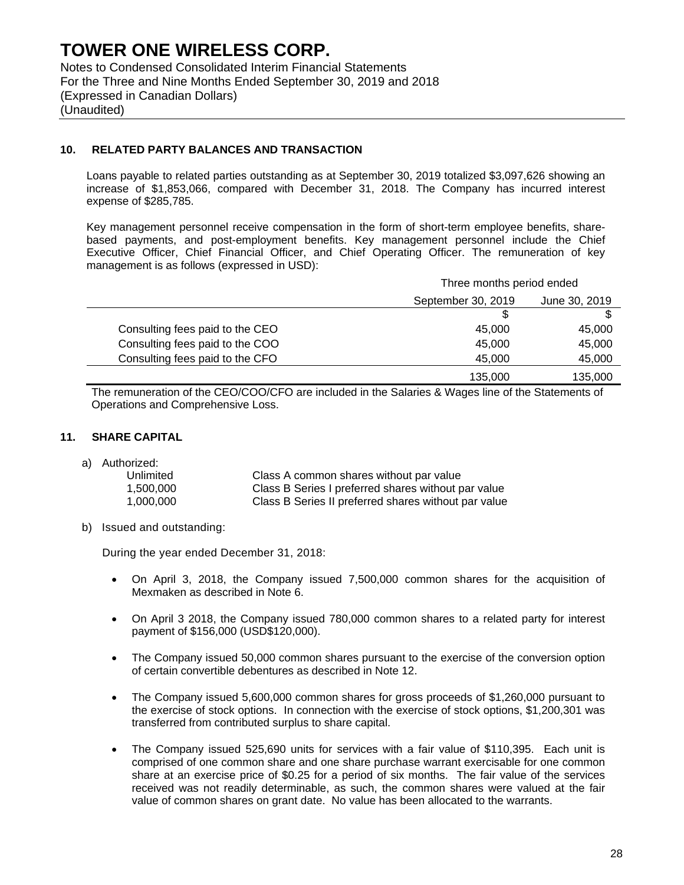Notes to Condensed Consolidated Interim Financial Statements For the Three and Nine Months Ended September 30, 2019 and 2018 (Expressed in Canadian Dollars) (Unaudited)

### **10. RELATED PARTY BALANCES AND TRANSACTION**

Loans payable to related parties outstanding as at September 30, 2019 totalized \$3,097,626 showing an increase of \$1,853,066, compared with December 31, 2018. The Company has incurred interest expense of \$285,785.

Key management personnel receive compensation in the form of short-term employee benefits, sharebased payments, and post-employment benefits. Key management personnel include the Chief Executive Officer, Chief Financial Officer, and Chief Operating Officer. The remuneration of key management is as follows (expressed in USD):

|                                 | Three months period ended           |         |  |
|---------------------------------|-------------------------------------|---------|--|
|                                 | September 30, 2019<br>June 30, 2019 |         |  |
|                                 |                                     |         |  |
| Consulting fees paid to the CEO | 45,000                              | 45,000  |  |
| Consulting fees paid to the COO | 45,000                              | 45,000  |  |
| Consulting fees paid to the CFO | 45,000                              | 45,000  |  |
|                                 | 135,000                             | 135,000 |  |

The remuneration of the CEO/COO/CFO are included in the Salaries & Wages line of the Statements of Operations and Comprehensive Loss.

### **11. SHARE CAPITAL**

a) Authorized:

| Unlimited | Class A common shares without par value              |
|-----------|------------------------------------------------------|
| 1.500.000 | Class B Series I preferred shares without par value  |
| 1.000.000 | Class B Series II preferred shares without par value |

b) Issued and outstanding:

During the year ended December 31, 2018:

- On April 3, 2018, the Company issued 7,500,000 common shares for the acquisition of Mexmaken as described in Note 6.
- On April 3 2018, the Company issued 780,000 common shares to a related party for interest payment of \$156,000 (USD\$120,000).
- The Company issued 50,000 common shares pursuant to the exercise of the conversion option of certain convertible debentures as described in Note 12.
- The Company issued 5,600,000 common shares for gross proceeds of \$1,260,000 pursuant to the exercise of stock options. In connection with the exercise of stock options, \$1,200,301 was transferred from contributed surplus to share capital.
- The Company issued 525,690 units for services with a fair value of \$110,395. Each unit is comprised of one common share and one share purchase warrant exercisable for one common share at an exercise price of \$0.25 for a period of six months. The fair value of the services received was not readily determinable, as such, the common shares were valued at the fair value of common shares on grant date. No value has been allocated to the warrants.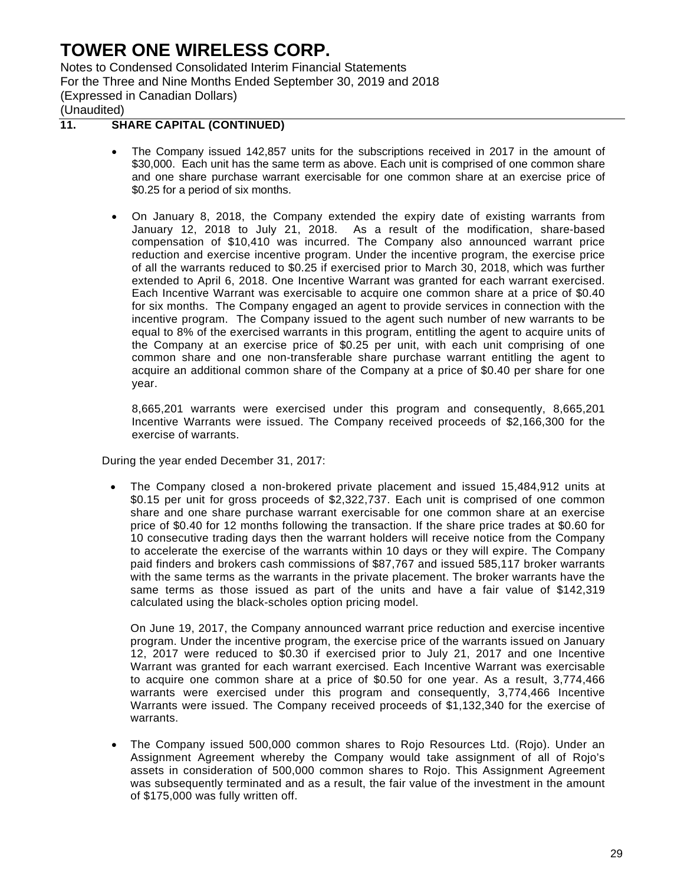Notes to Condensed Consolidated Interim Financial Statements For the Three and Nine Months Ended September 30, 2019 and 2018 (Expressed in Canadian Dollars) (Unaudited)

### **11. SHARE CAPITAL (CONTINUED)**

- The Company issued 142,857 units for the subscriptions received in 2017 in the amount of \$30,000. Each unit has the same term as above. Each unit is comprised of one common share and one share purchase warrant exercisable for one common share at an exercise price of \$0.25 for a period of six months.
- On January 8, 2018, the Company extended the expiry date of existing warrants from January 12, 2018 to July 21, 2018. As a result of the modification, share-based compensation of \$10,410 was incurred. The Company also announced warrant price reduction and exercise incentive program. Under the incentive program, the exercise price of all the warrants reduced to \$0.25 if exercised prior to March 30, 2018, which was further extended to April 6, 2018. One Incentive Warrant was granted for each warrant exercised. Each Incentive Warrant was exercisable to acquire one common share at a price of \$0.40 for six months. The Company engaged an agent to provide services in connection with the incentive program. The Company issued to the agent such number of new warrants to be equal to 8% of the exercised warrants in this program, entitling the agent to acquire units of the Company at an exercise price of \$0.25 per unit, with each unit comprising of one common share and one non-transferable share purchase warrant entitling the agent to acquire an additional common share of the Company at a price of \$0.40 per share for one year.

8,665,201 warrants were exercised under this program and consequently, 8,665,201 Incentive Warrants were issued. The Company received proceeds of \$2,166,300 for the exercise of warrants.

During the year ended December 31, 2017:

 The Company closed a non-brokered private placement and issued 15,484,912 units at \$0.15 per unit for gross proceeds of \$2,322,737. Each unit is comprised of one common share and one share purchase warrant exercisable for one common share at an exercise price of \$0.40 for 12 months following the transaction. If the share price trades at \$0.60 for 10 consecutive trading days then the warrant holders will receive notice from the Company to accelerate the exercise of the warrants within 10 days or they will expire. The Company paid finders and brokers cash commissions of \$87,767 and issued 585,117 broker warrants with the same terms as the warrants in the private placement. The broker warrants have the same terms as those issued as part of the units and have a fair value of \$142,319 calculated using the black-scholes option pricing model.

On June 19, 2017, the Company announced warrant price reduction and exercise incentive program. Under the incentive program, the exercise price of the warrants issued on January 12, 2017 were reduced to \$0.30 if exercised prior to July 21, 2017 and one Incentive Warrant was granted for each warrant exercised. Each Incentive Warrant was exercisable to acquire one common share at a price of \$0.50 for one year. As a result, 3,774,466 warrants were exercised under this program and consequently, 3,774,466 Incentive Warrants were issued. The Company received proceeds of \$1,132,340 for the exercise of warrants.

 The Company issued 500,000 common shares to Rojo Resources Ltd. (Rojo). Under an Assignment Agreement whereby the Company would take assignment of all of Rojo's assets in consideration of 500,000 common shares to Rojo. This Assignment Agreement was subsequently terminated and as a result, the fair value of the investment in the amount of \$175,000 was fully written off.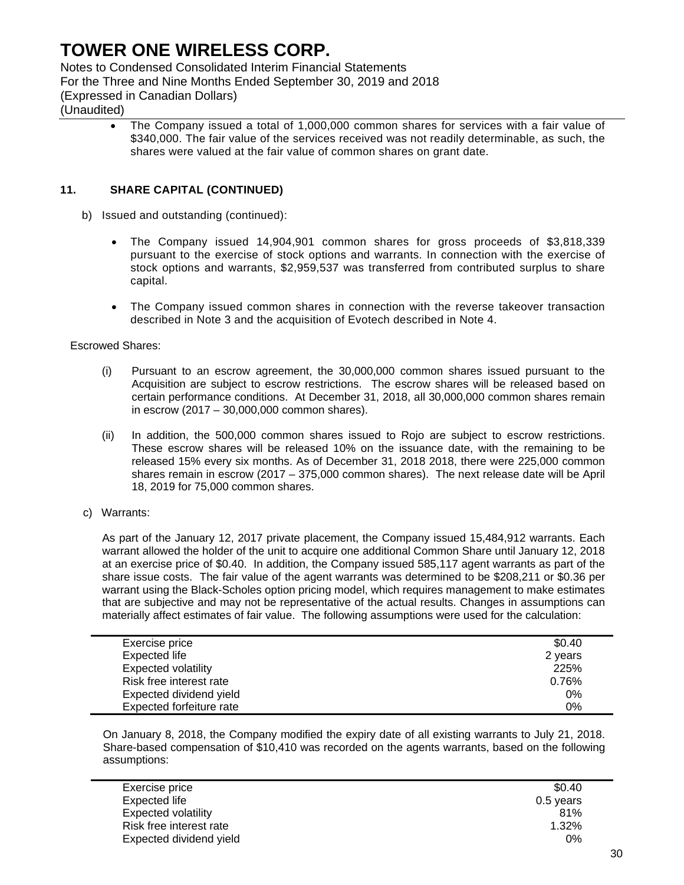Notes to Condensed Consolidated Interim Financial Statements

For the Three and Nine Months Ended September 30, 2019 and 2018

(Expressed in Canadian Dollars)

### (Unaudited)

 The Company issued a total of 1,000,000 common shares for services with a fair value of \$340,000. The fair value of the services received was not readily determinable, as such, the shares were valued at the fair value of common shares on grant date.

### **11. SHARE CAPITAL (CONTINUED)**

- b) Issued and outstanding (continued):
	- The Company issued 14,904,901 common shares for gross proceeds of \$3,818,339 pursuant to the exercise of stock options and warrants. In connection with the exercise of stock options and warrants, \$2,959,537 was transferred from contributed surplus to share capital.
	- The Company issued common shares in connection with the reverse takeover transaction described in Note 3 and the acquisition of Evotech described in Note 4.

### Escrowed Shares:

- (i) Pursuant to an escrow agreement, the 30,000,000 common shares issued pursuant to the Acquisition are subject to escrow restrictions. The escrow shares will be released based on certain performance conditions. At December 31, 2018, all 30,000,000 common shares remain in escrow (2017 – 30,000,000 common shares).
- (ii) In addition, the 500,000 common shares issued to Rojo are subject to escrow restrictions. These escrow shares will be released 10% on the issuance date, with the remaining to be released 15% every six months. As of December 31, 2018 2018, there were 225,000 common shares remain in escrow (2017 – 375,000 common shares). The next release date will be April 18, 2019 for 75,000 common shares.
- c) Warrants:

As part of the January 12, 2017 private placement, the Company issued 15,484,912 warrants. Each warrant allowed the holder of the unit to acquire one additional Common Share until January 12, 2018 at an exercise price of \$0.40. In addition, the Company issued 585,117 agent warrants as part of the share issue costs. The fair value of the agent warrants was determined to be \$208,211 or \$0.36 per warrant using the Black-Scholes option pricing model, which requires management to make estimates that are subjective and may not be representative of the actual results. Changes in assumptions can materially affect estimates of fair value. The following assumptions were used for the calculation:

| Exercise price             | \$0.40  |
|----------------------------|---------|
| Expected life              | 2 years |
| <b>Expected volatility</b> | 225%    |
| Risk free interest rate    | 0.76%   |
| Expected dividend yield    | $0\%$   |
| Expected forfeiture rate   | 0%      |

On January 8, 2018, the Company modified the expiry date of all existing warrants to July 21, 2018. Share-based compensation of \$10,410 was recorded on the agents warrants, based on the following assumptions:

| Exercise price             | \$0.40    |
|----------------------------|-----------|
| Expected life              | 0.5 years |
| <b>Expected volatility</b> | 81%       |
| Risk free interest rate    | 1.32%     |
| Expected dividend yield    | 0%        |
|                            |           |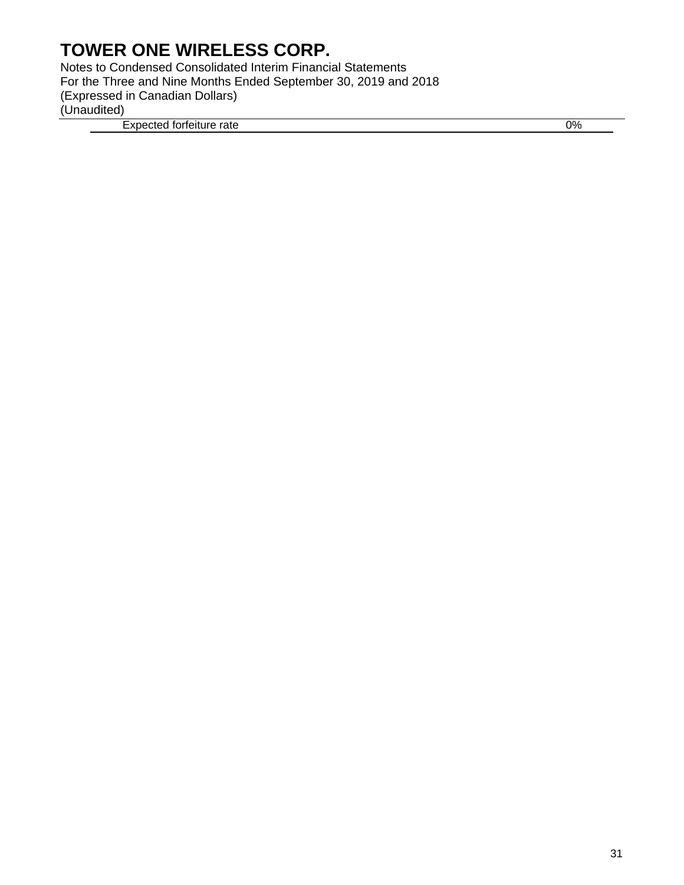Notes to Condensed Consolidated Interim Financial Statements For the Three and Nine Months Ended September 30, 2019 and 2018 (Expressed in Canadian Dollars) (Unaudited) Expected forfeiture rate 0%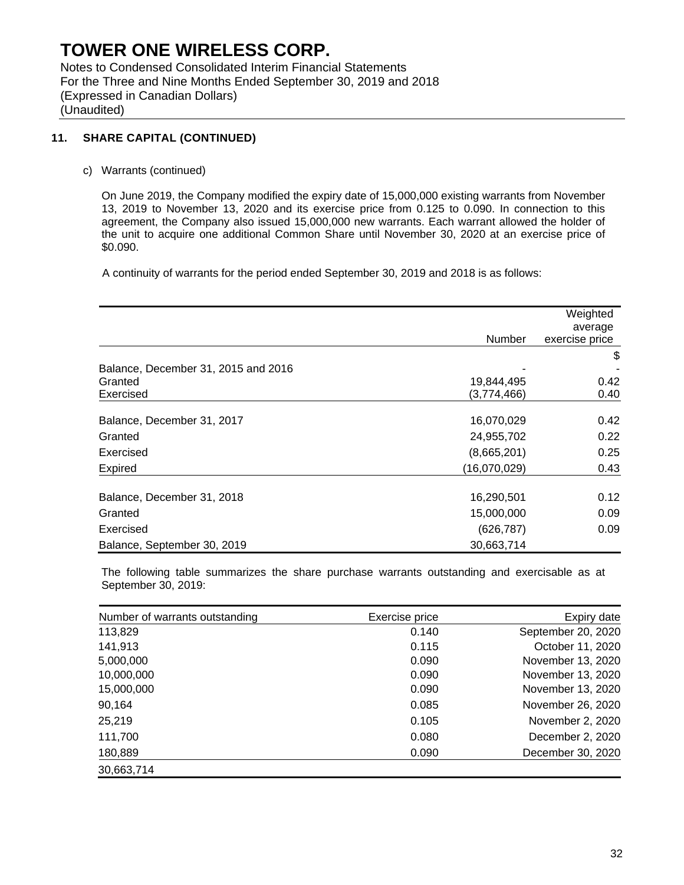Notes to Condensed Consolidated Interim Financial Statements For the Three and Nine Months Ended September 30, 2019 and 2018 (Expressed in Canadian Dollars) (Unaudited)

### **11. SHARE CAPITAL (CONTINUED)**

c) Warrants (continued)

On June 2019, the Company modified the expiry date of 15,000,000 existing warrants from November 13, 2019 to November 13, 2020 and its exercise price from 0.125 to 0.090. In connection to this agreement, the Company also issued 15,000,000 new warrants. Each warrant allowed the holder of the unit to acquire one additional Common Share until November 30, 2020 at an exercise price of \$0.090.

A continuity of warrants for the period ended September 30, 2019 and 2018 is as follows:

|                                     |              | Weighted       |
|-------------------------------------|--------------|----------------|
|                                     |              | average        |
|                                     | Number       | exercise price |
|                                     |              | \$             |
| Balance, December 31, 2015 and 2016 |              |                |
| Granted                             | 19,844,495   | 0.42           |
| Exercised                           | (3,774,466)  | 0.40           |
| Balance, December 31, 2017          | 16,070,029   | 0.42           |
| Granted                             | 24,955,702   | 0.22           |
| Exercised                           | (8,665,201)  | 0.25           |
| Expired                             | (16,070,029) | 0.43           |
| Balance, December 31, 2018          | 16,290,501   | 0.12           |
| Granted                             | 15,000,000   | 0.09           |
| Exercised                           | (626, 787)   | 0.09           |
| Balance, September 30, 2019         | 30,663,714   |                |

The following table summarizes the share purchase warrants outstanding and exercisable as at September 30, 2019:

| Number of warrants outstanding | Exercise price | Expiry date        |
|--------------------------------|----------------|--------------------|
| 113,829                        | 0.140          | September 20, 2020 |
| 141,913                        | 0.115          | October 11, 2020   |
| 5,000,000                      | 0.090          | November 13, 2020  |
| 10,000,000                     | 0.090          | November 13, 2020  |
| 15,000,000                     | 0.090          | November 13, 2020  |
| 90,164                         | 0.085          | November 26, 2020  |
| 25,219                         | 0.105          | November 2, 2020   |
| 111,700                        | 0.080          | December 2, 2020   |
| 180,889                        | 0.090          | December 30, 2020  |
| 30,663,714                     |                |                    |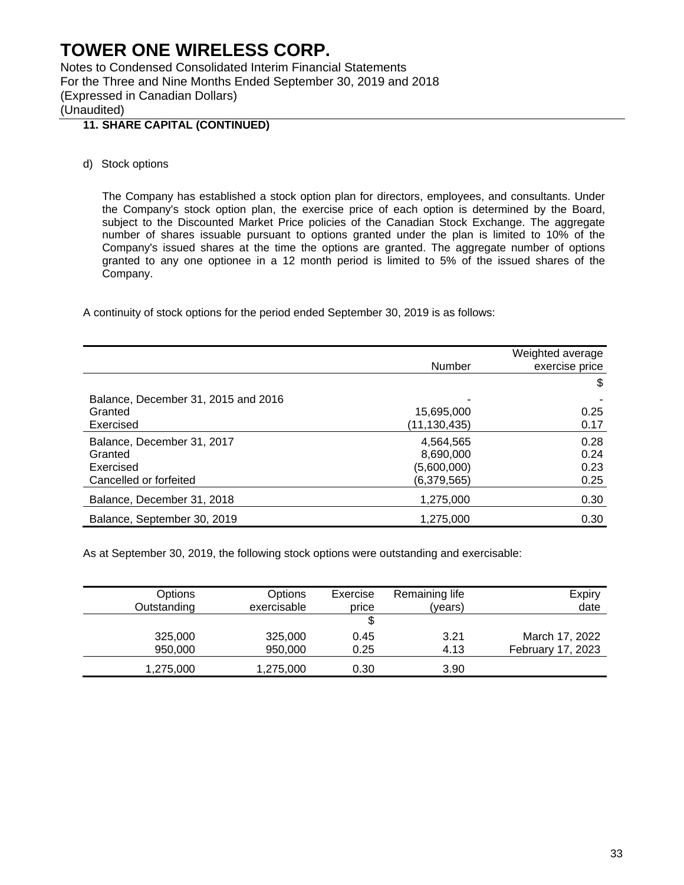Notes to Condensed Consolidated Interim Financial Statements For the Three and Nine Months Ended September 30, 2019 and 2018 (Expressed in Canadian Dollars) (Unaudited)

## **11. SHARE CAPITAL (CONTINUED)**

d) Stock options

The Company has established a stock option plan for directors, employees, and consultants. Under the Company's stock option plan, the exercise price of each option is determined by the Board, subject to the Discounted Market Price policies of the Canadian Stock Exchange. The aggregate number of shares issuable pursuant to options granted under the plan is limited to 10% of the Company's issued shares at the time the options are granted. The aggregate number of options granted to any one optionee in a 12 month period is limited to 5% of the issued shares of the Company.

A continuity of stock options for the period ended September 30, 2019 is as follows:

|                                     | Number       | Weighted average<br>exercise price |
|-------------------------------------|--------------|------------------------------------|
|                                     |              | \$                                 |
| Balance, December 31, 2015 and 2016 |              |                                    |
| Granted                             | 15,695,000   | 0.25                               |
| Exercised                           | (11,130,435) | 0.17                               |
| Balance, December 31, 2017          | 4,564,565    | 0.28                               |
| Granted                             | 8,690,000    | 0.24                               |
| Exercised                           | (5,600,000)  | 0.23                               |
| Cancelled or forfeited              | (6,379,565)  | 0.25                               |
| Balance, December 31, 2018          | 1,275,000    | 0.30                               |
| Balance, September 30, 2019         | 1,275,000    | 0.30                               |

As at September 30, 2019, the following stock options were outstanding and exercisable:

| Options     | Options     | Exercise | Remaining life | Expiry            |
|-------------|-------------|----------|----------------|-------------------|
| Outstanding | exercisable | price    | (years)        | date              |
|             |             |          |                |                   |
| 325,000     | 325,000     | 0.45     | 3.21           | March 17, 2022    |
| 950,000     | 950,000     | 0.25     | 4.13           | February 17, 2023 |
| 1,275,000   | 1,275,000   | 0.30     | 3.90           |                   |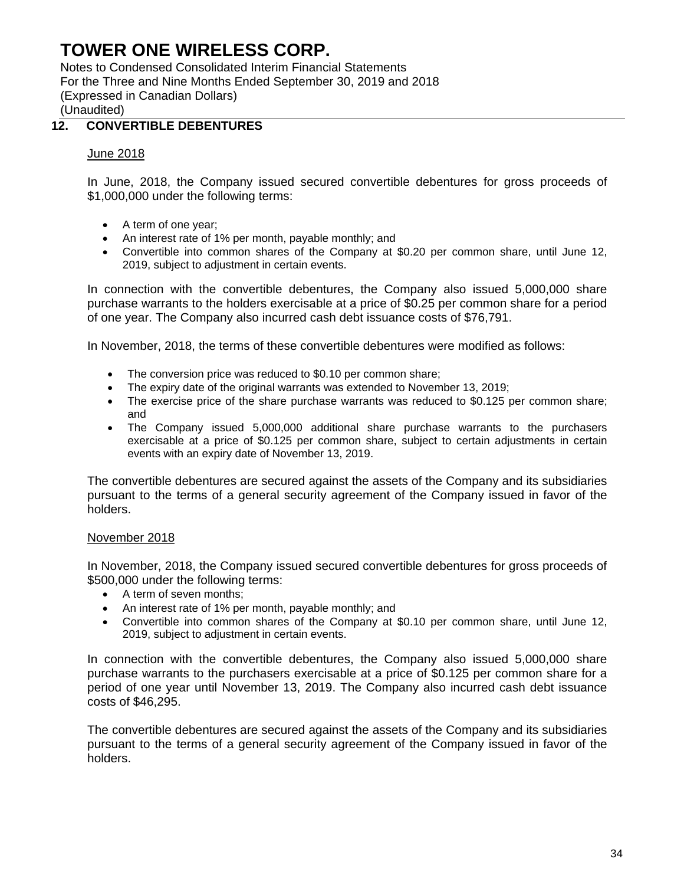Notes to Condensed Consolidated Interim Financial Statements For the Three and Nine Months Ended September 30, 2019 and 2018 (Expressed in Canadian Dollars) (Unaudited)

## **12. CONVERTIBLE DEBENTURES**

### June 2018

In June, 2018, the Company issued secured convertible debentures for gross proceeds of \$1,000,000 under the following terms:

- A term of one year;
- An interest rate of 1% per month, payable monthly; and
- Convertible into common shares of the Company at \$0.20 per common share, until June 12, 2019, subject to adjustment in certain events.

In connection with the convertible debentures, the Company also issued 5,000,000 share purchase warrants to the holders exercisable at a price of \$0.25 per common share for a period of one year. The Company also incurred cash debt issuance costs of \$76,791.

In November, 2018, the terms of these convertible debentures were modified as follows:

- The conversion price was reduced to \$0.10 per common share;
- The expiry date of the original warrants was extended to November 13, 2019;
- The exercise price of the share purchase warrants was reduced to \$0.125 per common share; and
- The Company issued 5,000,000 additional share purchase warrants to the purchasers exercisable at a price of \$0.125 per common share, subject to certain adjustments in certain events with an expiry date of November 13, 2019.

The convertible debentures are secured against the assets of the Company and its subsidiaries pursuant to the terms of a general security agreement of the Company issued in favor of the holders.

### November 2018

In November, 2018, the Company issued secured convertible debentures for gross proceeds of \$500,000 under the following terms:

- A term of seven months;
- An interest rate of 1% per month, payable monthly; and
- Convertible into common shares of the Company at \$0.10 per common share, until June 12, 2019, subject to adjustment in certain events.

In connection with the convertible debentures, the Company also issued 5,000,000 share purchase warrants to the purchasers exercisable at a price of \$0.125 per common share for a period of one year until November 13, 2019. The Company also incurred cash debt issuance costs of \$46,295.

The convertible debentures are secured against the assets of the Company and its subsidiaries pursuant to the terms of a general security agreement of the Company issued in favor of the holders.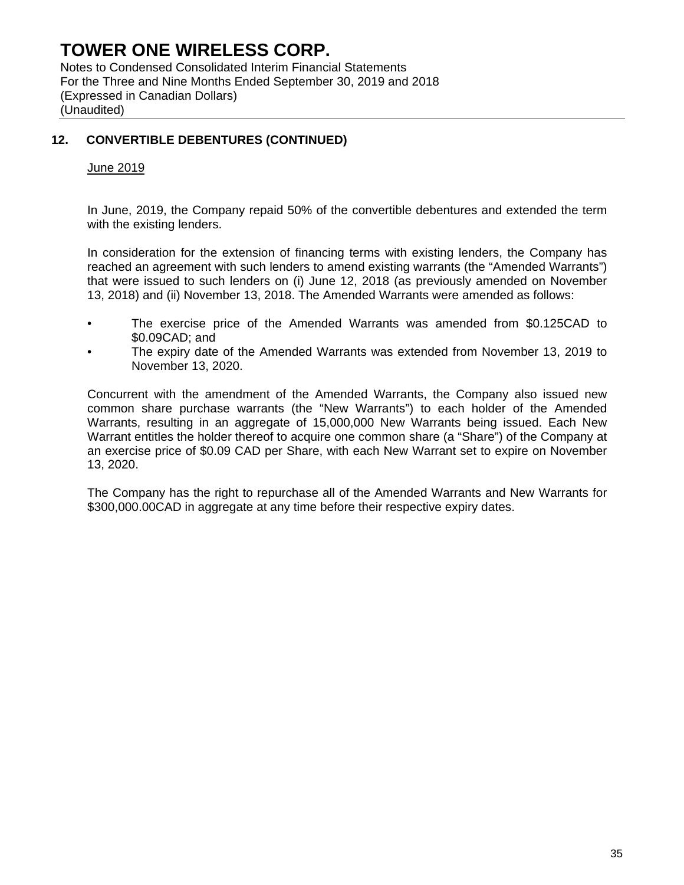Notes to Condensed Consolidated Interim Financial Statements For the Three and Nine Months Ended September 30, 2019 and 2018 (Expressed in Canadian Dollars) (Unaudited)

## **12. CONVERTIBLE DEBENTURES (CONTINUED)**

### June 2019

In June, 2019, the Company repaid 50% of the convertible debentures and extended the term with the existing lenders.

In consideration for the extension of financing terms with existing lenders, the Company has reached an agreement with such lenders to amend existing warrants (the "Amended Warrants") that were issued to such lenders on (i) June 12, 2018 (as previously amended on November 13, 2018) and (ii) November 13, 2018. The Amended Warrants were amended as follows:

- The exercise price of the Amended Warrants was amended from \$0.125CAD to \$0.09CAD; and
- The expiry date of the Amended Warrants was extended from November 13, 2019 to November 13, 2020.

Concurrent with the amendment of the Amended Warrants, the Company also issued new common share purchase warrants (the "New Warrants") to each holder of the Amended Warrants, resulting in an aggregate of 15,000,000 New Warrants being issued. Each New Warrant entitles the holder thereof to acquire one common share (a "Share") of the Company at an exercise price of \$0.09 CAD per Share, with each New Warrant set to expire on November 13, 2020.

The Company has the right to repurchase all of the Amended Warrants and New Warrants for \$300,000.00CAD in aggregate at any time before their respective expiry dates.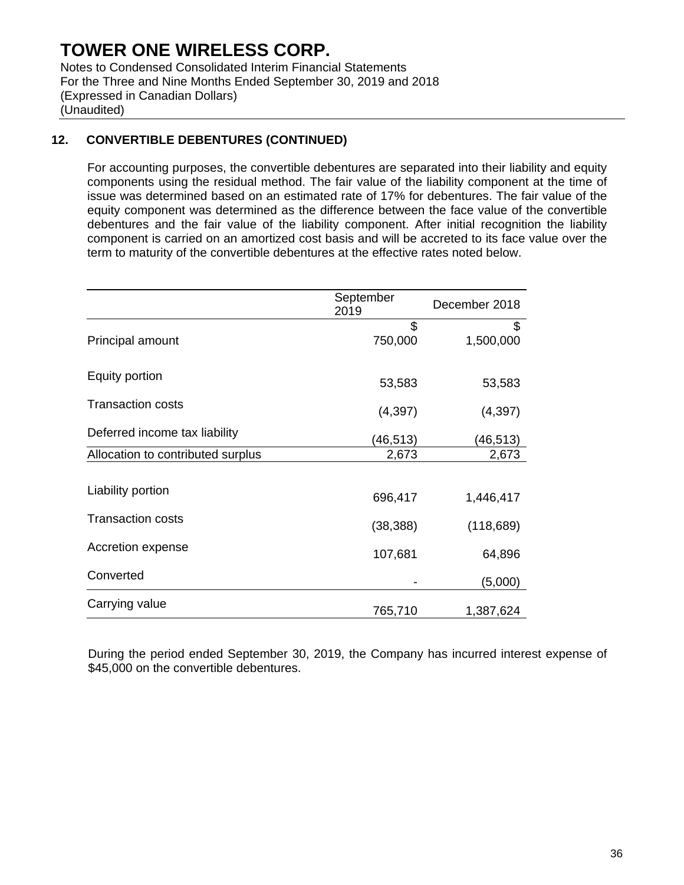Notes to Condensed Consolidated Interim Financial Statements For the Three and Nine Months Ended September 30, 2019 and 2018 (Expressed in Canadian Dollars) (Unaudited)

## **12. CONVERTIBLE DEBENTURES (CONTINUED)**

For accounting purposes, the convertible debentures are separated into their liability and equity components using the residual method. The fair value of the liability component at the time of issue was determined based on an estimated rate of 17% for debentures. The fair value of the equity component was determined as the difference between the face value of the convertible debentures and the fair value of the liability component. After initial recognition the liability component is carried on an amortized cost basis and will be accreted to its face value over the term to maturity of the convertible debentures at the effective rates noted below.

|                                   | September<br>2019 | December 2018   |
|-----------------------------------|-------------------|-----------------|
| Principal amount                  | \$<br>750,000     | \$<br>1,500,000 |
| Equity portion                    | 53,583            | 53,583          |
| <b>Transaction costs</b>          | (4, 397)          | (4, 397)        |
| Deferred income tax liability     | (46,513)          | (46, 513)       |
| Allocation to contributed surplus | 2,673             | 2,673           |
| Liability portion                 | 696,417           | 1,446,417       |
| <b>Transaction costs</b>          | (38, 388)         | (118, 689)      |
| Accretion expense                 | 107,681           | 64,896          |
| Converted                         |                   | (5,000)         |
| Carrying value                    | 765,710           | 1,387,624       |

During the period ended September 30, 2019, the Company has incurred interest expense of \$45,000 on the convertible debentures.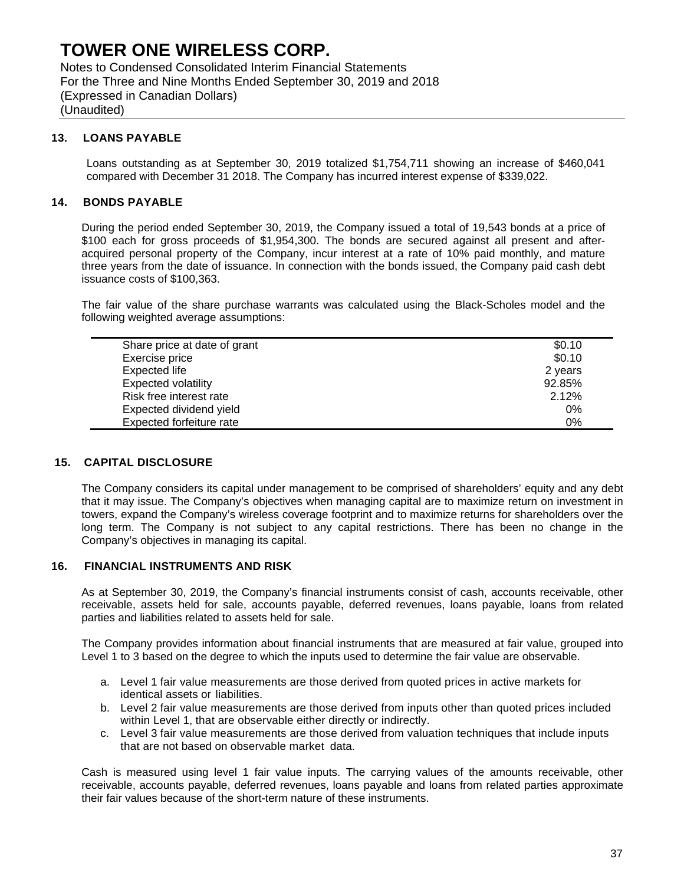Notes to Condensed Consolidated Interim Financial Statements For the Three and Nine Months Ended September 30, 2019 and 2018 (Expressed in Canadian Dollars) (Unaudited)

#### **13. LOANS PAYABLE**

Loans outstanding as at September 30, 2019 totalized \$1,754,711 showing an increase of \$460,041 compared with December 31 2018. The Company has incurred interest expense of \$339,022.

### **14. BONDS PAYABLE**

During the period ended September 30, 2019, the Company issued a total of 19,543 bonds at a price of \$100 each for gross proceeds of \$1,954,300. The bonds are secured against all present and afteracquired personal property of the Company, incur interest at a rate of 10% paid monthly, and mature three years from the date of issuance. In connection with the bonds issued, the Company paid cash debt issuance costs of \$100,363.

The fair value of the share purchase warrants was calculated using the Black-Scholes model and the following weighted average assumptions:

| Share price at date of grant | \$0.10  |
|------------------------------|---------|
| Exercise price               | \$0.10  |
| Expected life                | 2 years |
| <b>Expected volatility</b>   | 92.85%  |
| Risk free interest rate      | 2.12%   |
| Expected dividend yield      | 0%      |
| Expected forfeiture rate     | 0%      |

### **15. CAPITAL DISCLOSURE**

The Company considers its capital under management to be comprised of shareholders' equity and any debt that it may issue. The Company's objectives when managing capital are to maximize return on investment in towers, expand the Company's wireless coverage footprint and to maximize returns for shareholders over the long term. The Company is not subject to any capital restrictions. There has been no change in the Company's objectives in managing its capital.

#### **16. FINANCIAL INSTRUMENTS AND RISK**

As at September 30, 2019, the Company's financial instruments consist of cash, accounts receivable, other receivable, assets held for sale, accounts payable, deferred revenues, loans payable, loans from related parties and liabilities related to assets held for sale.

The Company provides information about financial instruments that are measured at fair value, grouped into Level 1 to 3 based on the degree to which the inputs used to determine the fair value are observable.

- a. Level 1 fair value measurements are those derived from quoted prices in active markets for identical assets or liabilities.
- b. Level 2 fair value measurements are those derived from inputs other than quoted prices included within Level 1, that are observable either directly or indirectly.
- c. Level 3 fair value measurements are those derived from valuation techniques that include inputs that are not based on observable market data.

Cash is measured using level 1 fair value inputs. The carrying values of the amounts receivable, other receivable, accounts payable, deferred revenues, loans payable and loans from related parties approximate their fair values because of the short-term nature of these instruments.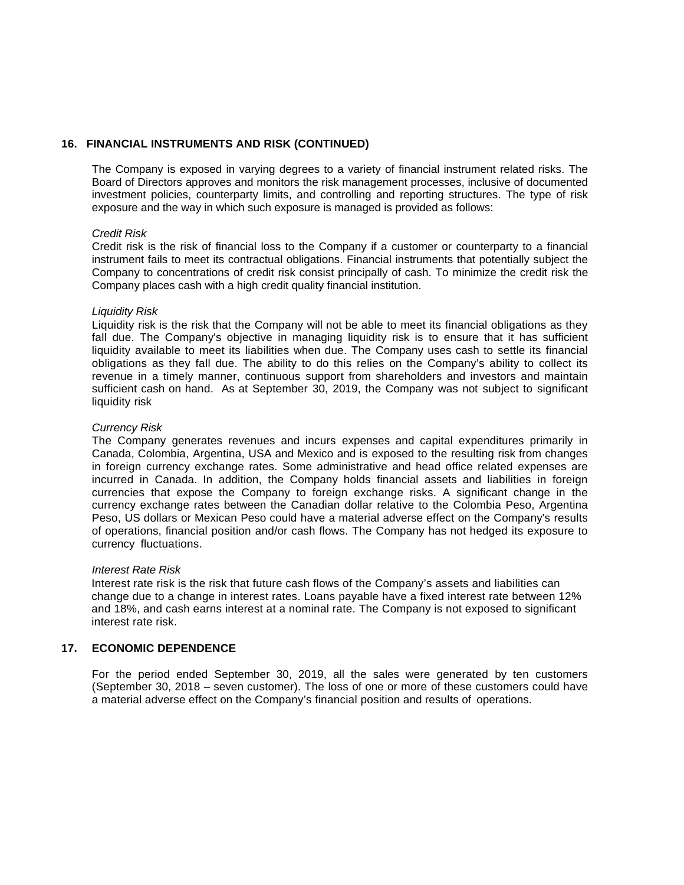#### **16. FINANCIAL INSTRUMENTS AND RISK (CONTINUED)**

The Company is exposed in varying degrees to a variety of financial instrument related risks. The Board of Directors approves and monitors the risk management processes, inclusive of documented investment policies, counterparty limits, and controlling and reporting structures. The type of risk exposure and the way in which such exposure is managed is provided as follows:

#### *Credit Risk*

Credit risk is the risk of financial loss to the Company if a customer or counterparty to a financial instrument fails to meet its contractual obligations. Financial instruments that potentially subject the Company to concentrations of credit risk consist principally of cash. To minimize the credit risk the Company places cash with a high credit quality financial institution.

#### *Liquidity Risk*

Liquidity risk is the risk that the Company will not be able to meet its financial obligations as they fall due. The Company's objective in managing liquidity risk is to ensure that it has sufficient liquidity available to meet its liabilities when due. The Company uses cash to settle its financial obligations as they fall due. The ability to do this relies on the Company's ability to collect its revenue in a timely manner, continuous support from shareholders and investors and maintain sufficient cash on hand. As at September 30, 2019, the Company was not subject to significant liquidity risk

#### *Currency Risk*

The Company generates revenues and incurs expenses and capital expenditures primarily in Canada, Colombia, Argentina, USA and Mexico and is exposed to the resulting risk from changes in foreign currency exchange rates. Some administrative and head office related expenses are incurred in Canada. In addition, the Company holds financial assets and liabilities in foreign currencies that expose the Company to foreign exchange risks. A significant change in the currency exchange rates between the Canadian dollar relative to the Colombia Peso, Argentina Peso, US dollars or Mexican Peso could have a material adverse effect on the Company's results of operations, financial position and/or cash flows. The Company has not hedged its exposure to currency fluctuations.

#### *Interest Rate Risk*

Interest rate risk is the risk that future cash flows of the Company's assets and liabilities can change due to a change in interest rates. Loans payable have a fixed interest rate between 12% and 18%, and cash earns interest at a nominal rate. The Company is not exposed to significant interest rate risk.

### **17. ECONOMIC DEPENDENCE**

For the period ended September 30, 2019, all the sales were generated by ten customers (September 30, 2018 – seven customer). The loss of one or more of these customers could have a material adverse effect on the Company's financial position and results of operations.